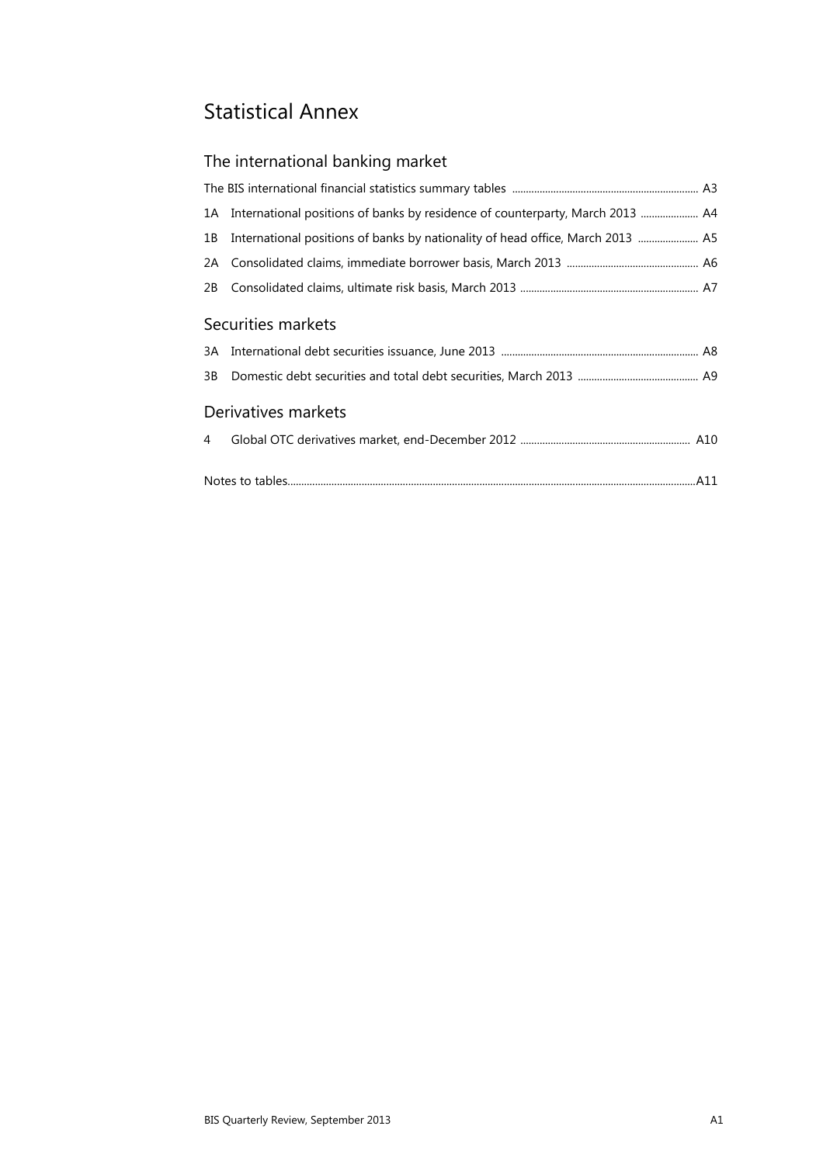# Statistical Annex

# The international banking market

| 1A |                                                                            |     |
|----|----------------------------------------------------------------------------|-----|
| 1B | International positions of banks by nationality of head office, March 2013 |     |
| 2A |                                                                            |     |
| 2B |                                                                            |     |
|    | Securities markets                                                         |     |
| 3A |                                                                            |     |
| 3B |                                                                            |     |
|    | Derivatives markets                                                        |     |
| 4  |                                                                            |     |
|    |                                                                            | A11 |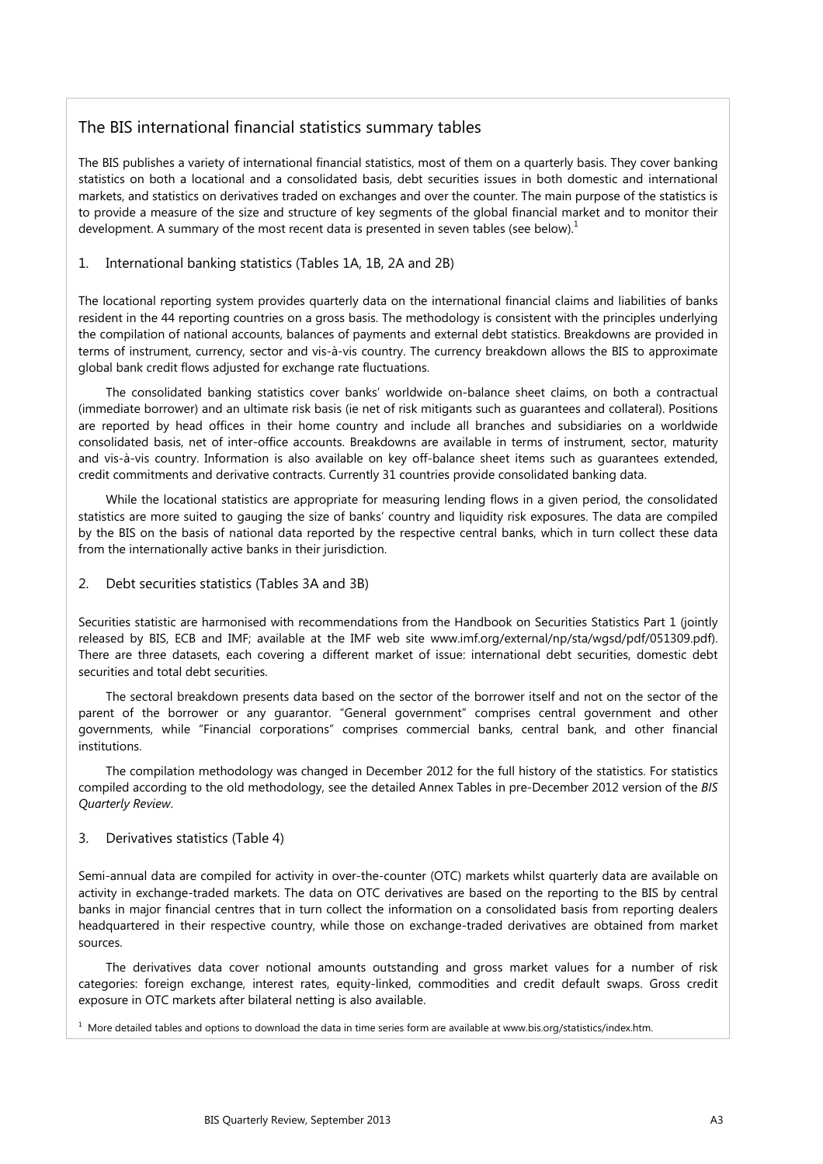## The BIS international financial statistics summary tables

The BIS publishes a variety of international financial statistics, most of them on a quarterly basis. They cover banking statistics on both a locational and a consolidated basis, debt securities issues in both domestic and international markets, and statistics on derivatives traded on exchanges and over the counter. The main purpose of the statistics is to provide a measure of the size and structure of key segments of the global financial market and to monitor their development. A summary of the most recent data is presented in seven tables (see below).<sup>1</sup>

## 1. International banking statistics (Tables 1A, 1B, 2A and 2B)

The locational reporting system provides quarterly data on the international financial claims and liabilities of banks resident in the 44 reporting countries on a gross basis. The methodology is consistent with the principles underlying the compilation of national accounts, balances of payments and external debt statistics. Breakdowns are provided in terms of instrument, currency, sector and vis-à-vis country. The currency breakdown allows the BIS to approximate global bank credit flows adjusted for exchange rate fluctuations.

The consolidated banking statistics cover banks' worldwide on-balance sheet claims, on both a contractual (immediate borrower) and an ultimate risk basis (ie net of risk mitigants such as guarantees and collateral). Positions are reported by head offices in their home country and include all branches and subsidiaries on a worldwide consolidated basis, net of inter-office accounts. Breakdowns are available in terms of instrument, sector, maturity and vis-à-vis country. Information is also available on key off-balance sheet items such as guarantees extended, credit commitments and derivative contracts. Currently 31 countries provide consolidated banking data.

While the locational statistics are appropriate for measuring lending flows in a given period, the consolidated statistics are more suited to gauging the size of banks' country and liquidity risk exposures. The data are compiled by the BIS on the basis of national data reported by the respective central banks, which in turn collect these data from the internationally active banks in their jurisdiction.

### 2. Debt securities statistics (Tables 3A and 3B)

Securities statistic are harmonised with recommendations from the Handbook on Securities Statistics Part 1 (jointly released by BIS, ECB and IMF; available at the IMF web site www.imf.org/external/np/sta/wgsd/pdf/051309.pdf). There are three datasets, each covering a different market of issue: international debt securities, domestic debt securities and total debt securities.

The sectoral breakdown presents data based on the sector of the borrower itself and not on the sector of the parent of the borrower or any guarantor. "General government" comprises central government and other governments, while "Financial corporations" comprises commercial banks, central bank, and other financial institutions.

The compilation methodology was changed in December 2012 for the full history of the statistics. For statistics compiled according to the old methodology, see the detailed Annex Tables in pre-December 2012 version of the *BIS Quarterly Review*.

## 3. Derivatives statistics (Table 4)

Semi-annual data are compiled for activity in over-the-counter (OTC) markets whilst quarterly data are available on activity in exchange-traded markets. The data on OTC derivatives are based on the reporting to the BIS by central banks in major financial centres that in turn collect the information on a consolidated basis from reporting dealers headquartered in their respective country, while those on exchange-traded derivatives are obtained from market sources.

The derivatives data cover notional amounts outstanding and gross market values for a number of risk categories: foreign exchange, interest rates, equity-linked, commodities and credit default swaps. Gross credit exposure in OTC markets after bilateral netting is also available.

 $1$  More detailed tables and options to download the data in time series form are available at www.bis.org/statistics/index.htm.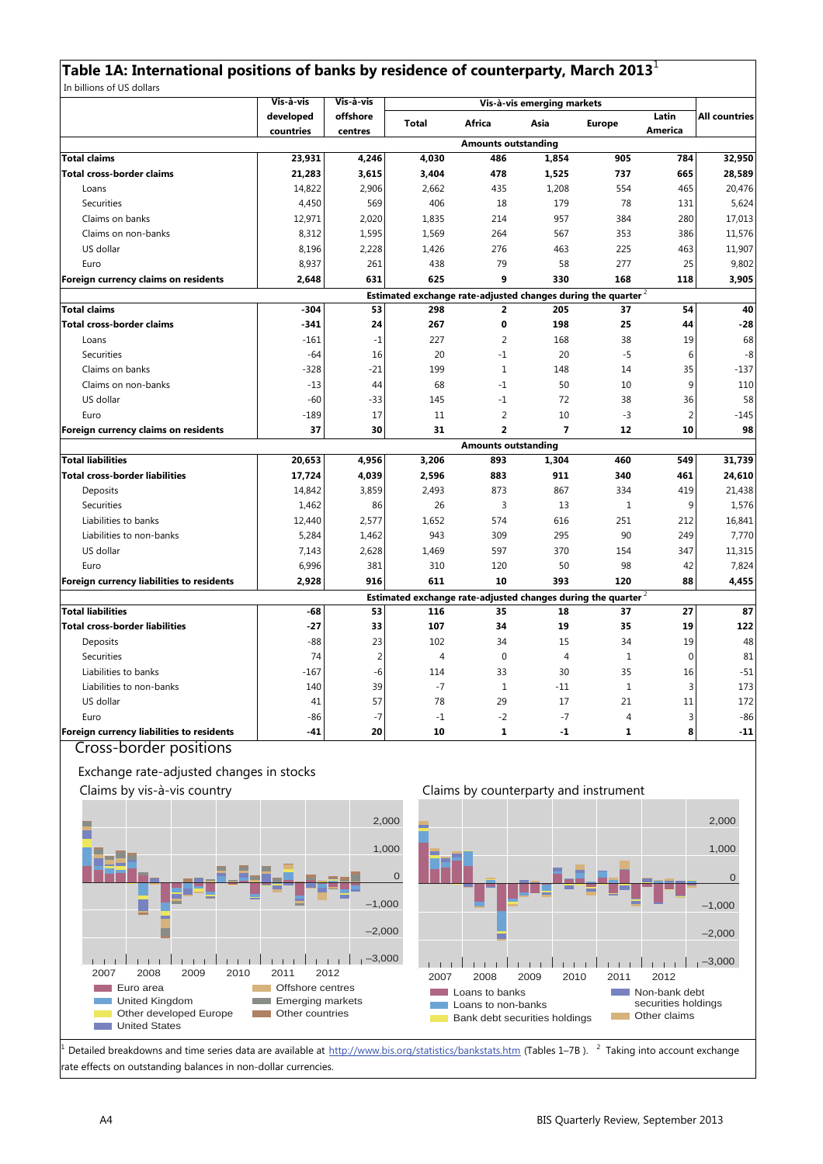## **Table 1A: International positions of banks by residence of counterparty, March 2013**<sup>1</sup>

In billions of US dollars

|                                           | Vis-à-vis | Vis-à-vis      |              |                                                                  |                |                |                |                      |
|-------------------------------------------|-----------|----------------|--------------|------------------------------------------------------------------|----------------|----------------|----------------|----------------------|
|                                           | developed | offshore       | <b>Total</b> | Africa                                                           | Asia           | <b>Europe</b>  | Latin          | <b>All countries</b> |
|                                           | countries | centres        |              |                                                                  |                |                | America        |                      |
|                                           |           |                |              | <b>Amounts outstanding</b>                                       |                |                |                |                      |
| <b>Total claims</b>                       | 23,931    | 4,246          | 4,030        | 486                                                              | 1,854          | 905            | 784            | 32,950               |
| <b>Total cross-border claims</b>          | 21,283    | 3,615          | 3,404        | 478                                                              | 1,525          | 737            | 665            | 28,589               |
| Loans                                     | 14,822    | 2,906          | 2,662        | 435                                                              | 1,208          | 554            | 465            | 20,476               |
| <b>Securities</b>                         | 4,450     | 569            | 406          | 18                                                               | 179            | 78             | 131            | 5,624                |
| Claims on banks                           | 12,971    | 2,020          | 1,835        | 214                                                              | 957            | 384            | 280            | 17,013               |
| Claims on non-banks                       | 8,312     | 1,595          | 1,569        | 264                                                              | 567            | 353            | 386            | 11,576               |
| US dollar                                 | 8,196     | 2,228          | 1,426        | 276                                                              | 463            | 225            | 463            | 11,907               |
| Euro                                      | 8,937     | 261            | 438          | 79                                                               | 58             | 277            | 25             | 9,802                |
| Foreign currency claims on residents      | 2,648     | 631            | 625          | 9                                                                | 330            | 168            | 118            | 3,905                |
|                                           |           |                |              | Estimated exchange rate-adjusted changes during the quarter $^2$ |                |                |                |                      |
| <b>Total claims</b>                       | $-304$    | 53             | 298          | $\overline{2}$                                                   | 205            | 37             | 54             | 40                   |
| <b>Total cross-border claims</b>          | $-341$    | 24             | 267          | 0                                                                | 198            | 25             | 44             | -28                  |
| Loans                                     | $-161$    | $-1$           | 227          | $\overline{2}$                                                   | 168            | 38             | 19             | 68                   |
| Securities                                | $-64$     | 16             | 20           | $-1$                                                             | 20             | $-5$           | 6              | -8                   |
| Claims on banks                           | -328      | $-21$          | 199          | $\mathbf{1}$                                                     | 148            | 14             | 35             | $-137$               |
| Claims on non-banks                       | $-13$     | 44             | 68           | $-1$                                                             | 50             | 10             | 9              | 110                  |
| US dollar                                 | $-60$     | -33            | 145          | $-1$                                                             | 72             | 38             | 36             | 58                   |
| Euro                                      | $-189$    | 17             | 11           | $\overline{2}$                                                   | 10             | $-3$           | $\overline{2}$ | $-145$               |
| Foreign currency claims on residents      | 37        | 30             | 31           | $\overline{2}$                                                   | $\overline{7}$ | 12             | 10             | 98                   |
|                                           |           |                |              | <b>Amounts outstanding</b>                                       |                |                |                |                      |
| <b>Total liabilities</b>                  | 20,653    | 4,956          | 3,206        | 893                                                              | 1,304          | 460            | 549            | 31,739               |
| <b>Total cross-border liabilities</b>     | 17,724    | 4,039          | 2,596        | 883                                                              | 911            | 340            | 461            | 24,610               |
| Deposits                                  | 14,842    | 3,859          | 2,493        | 873                                                              | 867            | 334            | 419            | 21,438               |
| Securities                                | 1,462     | 86             | 26           | 3                                                                | 13             | $\mathbf{1}$   | 9              | 1,576                |
| Liabilities to banks                      | 12,440    | 2,577          | 1,652        | 574                                                              | 616            | 251            | 212            | 16,841               |
| Liabilities to non-banks                  | 5,284     | 1,462          | 943          | 309                                                              | 295            | 90             | 249            | 7,770                |
| US dollar                                 | 7,143     | 2,628          | 1,469        | 597                                                              | 370            | 154            | 347            | 11,315               |
| Euro                                      | 6,996     | 381            | 310          | 120                                                              | 50             | 98             | 42             | 7,824                |
| Foreign currency liabilities to residents | 2,928     | 916            | 611          | 10                                                               | 393            | 120            | 88             | 4,455                |
|                                           |           |                |              | Estimated exchange rate-adjusted changes during the quarter $^2$ |                |                |                |                      |
| <b>Total liabilities</b>                  | -68       | 53             | 116          | 35                                                               | 18             | 37             | 27             | 87                   |
| <b>Total cross-border liabilities</b>     | $-27$     | 33             | 107          | 34                                                               | 19             | 35             | 19             | 122                  |
| Deposits                                  | -88       | 23             | 102          | 34                                                               | 15             | 34             | 19             | 48                   |
| Securities                                | 74        | $\overline{2}$ | 4            | $\mathbf 0$                                                      | $\overline{4}$ | $\mathbf{1}$   | $\Omega$       | 81                   |
| Liabilities to banks                      | $-167$    | -6             | 114          | 33                                                               | 30             | 35             | 16             | $-51$                |
| Liabilities to non-banks                  | 140       | 39             | $-7$         | $\mathbf 1$                                                      | $-11$          | $\,1\,$        | $\overline{3}$ | 173                  |
| US dollar                                 | 41        | 57             | 78           | 29                                                               | 17             | 21             | 11             | 172                  |
| Euro                                      | -86       | $-7$           | $-1$         | $-2$                                                             | $-7$           | $\overline{4}$ | $\overline{3}$ | $-86$                |
| Foreign currency liabilities to residents | $-41$     | 20             | 10           | $\mathbf{1}$                                                     | $-1$           | 1              | 8              | $-11$                |
| Cross houder positions                    |           |                |              |                                                                  |                |                |                |                      |

Cross-border positions

Exchange rate-adjusted changes in stocks



Detailed breakdowns and time series data are available at http://www.bis.org/statistics/bankstats.htm (Tables 1–7B). <sup>2</sup> Taking into account exchange rate effects on outstanding balances in non-dollar currencies.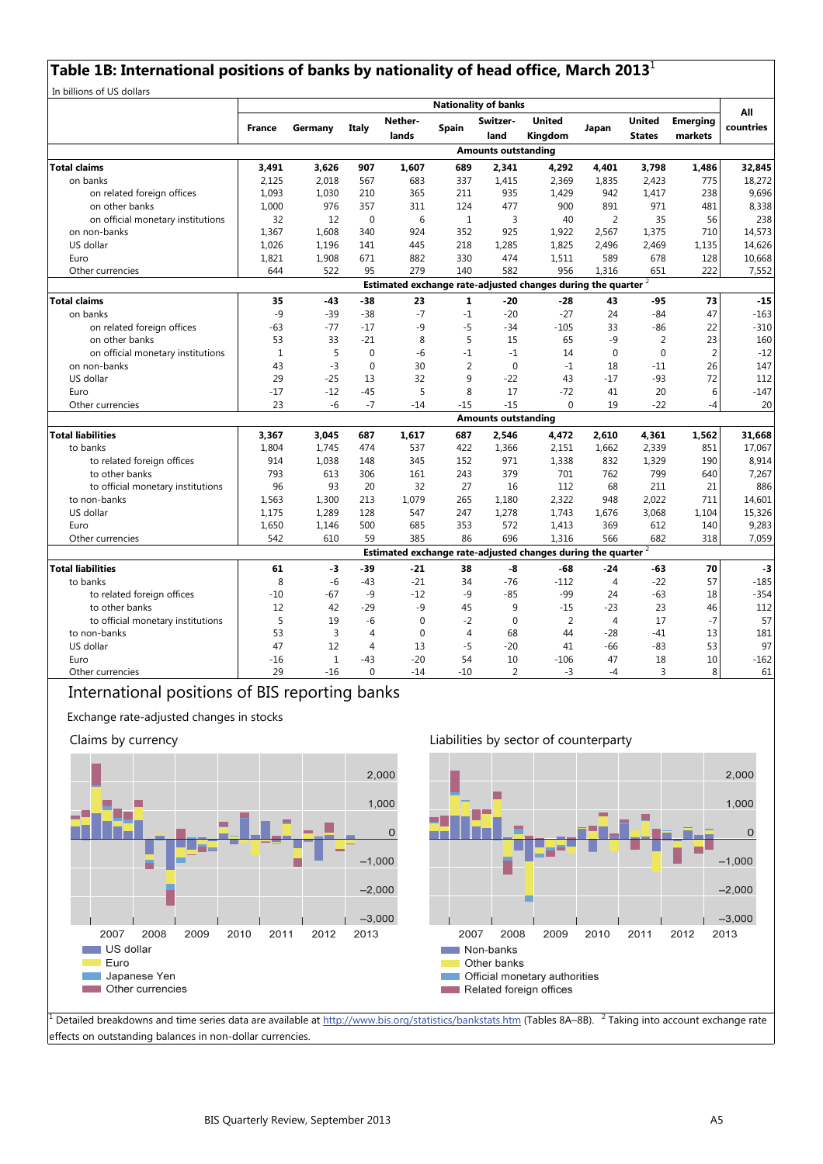## **Table 1B: International positions of banks by nationality of head office, March 2013**<sup>1</sup>

| In billions of US dollars         |               |              |                |                  |                |                             |                                                                 |                |                                |                            |           |
|-----------------------------------|---------------|--------------|----------------|------------------|----------------|-----------------------------|-----------------------------------------------------------------|----------------|--------------------------------|----------------------------|-----------|
|                                   |               |              |                |                  |                | <b>Nationality of banks</b> |                                                                 |                |                                |                            | All       |
|                                   | <b>France</b> | Germany      | Italy          | Nether-<br>lands | Spain          | Switzer-<br>land            | <b>United</b><br>Kingdom                                        | Japan          | <b>United</b><br><b>States</b> | <b>Emerging</b><br>markets | countries |
|                                   |               |              |                |                  |                | <b>Amounts outstanding</b>  |                                                                 |                |                                |                            |           |
| <b>Total claims</b>               | 3,491         | 3,626        | 907            | 1,607            | 689            | 2,341                       | 4,292                                                           | 4,401          | 3,798                          | 1,486                      | 32,845    |
| on banks                          | 2,125         | 2,018        | 567            | 683              | 337            | 1,415                       | 2,369                                                           | 1,835          | 2,423                          | 775                        | 18,272    |
| on related foreign offices        | 1,093         | 1,030        | 210            | 365              | 211            | 935                         | 1,429                                                           | 942            | 1,417                          | 238                        | 9,696     |
| on other banks                    | 1,000         | 976          | 357            | 311              | 124            | 477                         | 900                                                             | 891            | 971                            | 481                        | 8,338     |
| on official monetary institutions | 32            | 12           | $\mathbf{0}$   | 6                | 1              | 3                           | 40                                                              | $\overline{2}$ | 35                             | 56                         | 238       |
| on non-banks                      | 1,367         | 1,608        | 340            | 924              | 352            | 925                         | 1,922                                                           | 2,567          | 1,375                          | 710                        | 14,573    |
| US dollar                         | 1,026         | 1,196        | 141            | 445              | 218            | 1,285                       | 1,825                                                           | 2,496          | 2,469                          | 1,135                      | 14,626    |
| Euro                              | 1,821         | 1,908        | 671            | 882              | 330            | 474                         | 1,511                                                           | 589            | 678                            | 128                        | 10,668    |
| Other currencies                  | 644           | 522          | 95             | 279              | 140            | 582                         | 956                                                             | 1,316          | 651                            | 222                        | 7,552     |
|                                   |               |              |                |                  |                |                             | Estimated exchange rate-adjusted changes during the quarter     |                | $\overline{2}$                 |                            |           |
| <b>Total claims</b>               | 35            | $-43$        | -38            | 23               | 1              | $-20$                       | $-28$                                                           | 43             | -95                            | 73                         | $-15$     |
| on banks                          | $-9$          | $-39$        | $-38$          | $-7$             | $-1$           | $-20$                       | $-27$                                                           | 24             | $-84$                          | 47                         | $-163$    |
| on related foreign offices        | $-63$         | $-77$        | $-17$          | $-9$             | -5             | $-34$                       | $-105$                                                          | 33             | $-86$                          | 22                         | $-310$    |
| on other banks                    | 53            | 33           | $-21$          | 8                | 5              | 15                          | 65                                                              | -9             | 2                              | 23                         | 160       |
| on official monetary institutions | $\mathbf{1}$  | 5            | $\mathbf{0}$   | $-6$             | $-1$           | $-1$                        | 14                                                              | $\mathbf{0}$   | $\mathbf{0}$                   | $\overline{2}$             | $-12$     |
| on non-banks                      | 43            | $-3$         | $\Omega$       | 30               | $\overline{2}$ | $\mathbf{0}$                | $-1$                                                            | 18             | $-11$                          | 26                         | 147       |
| US dollar                         | 29            | $-25$        | 13             | 32               | 9              | $-22$                       | 43                                                              | $-17$          | $-93$                          | 72                         | 112       |
| Euro                              | $-17$         | $-12$        | -45            | 5                | 8              | 17                          | $-72$                                                           | 41             | 20                             | 6                          | $-147$    |
| Other currencies                  | 23            | $-6$         | $-7$           | $-14$            | $-15$          | $-15$                       | $\Omega$                                                        | 19             | $-22$                          | $-4$                       | 20        |
|                                   |               |              |                |                  |                | <b>Amounts outstanding</b>  |                                                                 |                |                                |                            |           |
| <b>Total liabilities</b>          | 3,367         | 3,045        | 687            | 1,617            | 687            | 2,546                       | 4,472                                                           | 2,610          | 4,361                          | 1,562                      | 31,668    |
| to banks                          | 1,804         | 1.745        | 474            | 537              | 422            | 1,366                       | 2,151                                                           | 1,662          | 2,339                          | 851                        | 17,067    |
| to related foreign offices        | 914           | 1,038        | 148            | 345              | 152            | 971                         | 1,338                                                           | 832            | 1,329                          | 190                        | 8,914     |
| to other banks                    | 793           | 613          | 306            | 161              | 243            | 379                         | 701                                                             | 762            | 799                            | 640                        | 7,267     |
| to official monetary institutions | 96            | 93           | 20             | 32               | 27             | 16                          | 112                                                             | 68             | 211                            | 21                         | 886       |
| to non-banks                      | 1,563         | 1,300        | 213            | 1,079            | 265            | 1,180                       | 2,322                                                           | 948            | 2,022                          | 711                        | 14,601    |
| US dollar                         | 1,175         | 1,289        | 128            | 547              | 247            | 1,278                       | 1,743                                                           | 1,676          | 3,068                          | 1,104                      | 15,326    |
| Euro                              | 1,650         | 1,146        | 500            | 685              | 353            | 572                         | 1,413                                                           | 369            | 612                            | 140                        | 9,283     |
| Other currencies                  | 542           | 610          | 59             | 385              | 86             | 696                         | 1,316                                                           | 566            | 682                            | 318                        | 7,059     |
|                                   |               |              |                |                  |                |                             | Estimated exchange rate-adjusted changes during the quarter $2$ |                |                                |                            |           |
| <b>Total liabilities</b>          | 61            | -3           | -39            | $-21$            | 38             | -8                          | -68                                                             | -24            | $-63$                          | 70                         | $-3$      |
| to banks                          | 8             | $-6$         | $-43$          | $-21$            | 34             | $-76$                       | $-112$                                                          | $\overline{4}$ | $-22$                          | 57                         | $-185$    |
| to related foreign offices        | $-10$         | -67          | -9             | $-12$            | -9             | $-85$                       | -99                                                             | 24             | $-63$                          | 18                         | $-354$    |
| to other banks                    | 12            | 42           | $-29$          | $-9$             | 45             | 9                           | $-15$                                                           | $-23$          | 23                             | 46                         | 112       |
| to official monetary institutions | 5             | 19           | -6             | $\Omega$         | $-2$           | $\mathbf{0}$                | 2                                                               | $\overline{4}$ | 17                             | $-7$                       | 57        |
| to non-banks                      | 53            | 3            | 4              | $\mathbf 0$      | $\overline{4}$ | 68                          | 44                                                              | $-28$          | $-41$                          | 13                         | 181       |
| US dollar                         | 47            | 12           | $\overline{4}$ | 13               | -5             | $-20$                       | 41                                                              | -66            | $-83$                          | 53                         | 97        |
| Euro                              | $-16$         | $\mathbf{1}$ | $-43$          | $-20$            | 54             | 10                          | -106                                                            | 47             | 18                             | 10                         | $-162$    |
| Other currencies                  | 29            | $-16$        | $\Omega$       | $-14$            | $-10$          | $\overline{2}$              | $-3$                                                            | $-4$           | 3                              | 8                          | 61        |

## International positions of BIS reporting banks

Exchange rate-adjusted changes in stocks





1 Detailed breakdowns and time series data are available at http://www.bis.org/statistics/bankstats.htm (Tables 8A–8B). <sup>2</sup> Taking into account exchange rate effects on outstanding balances in non-dollar currencies.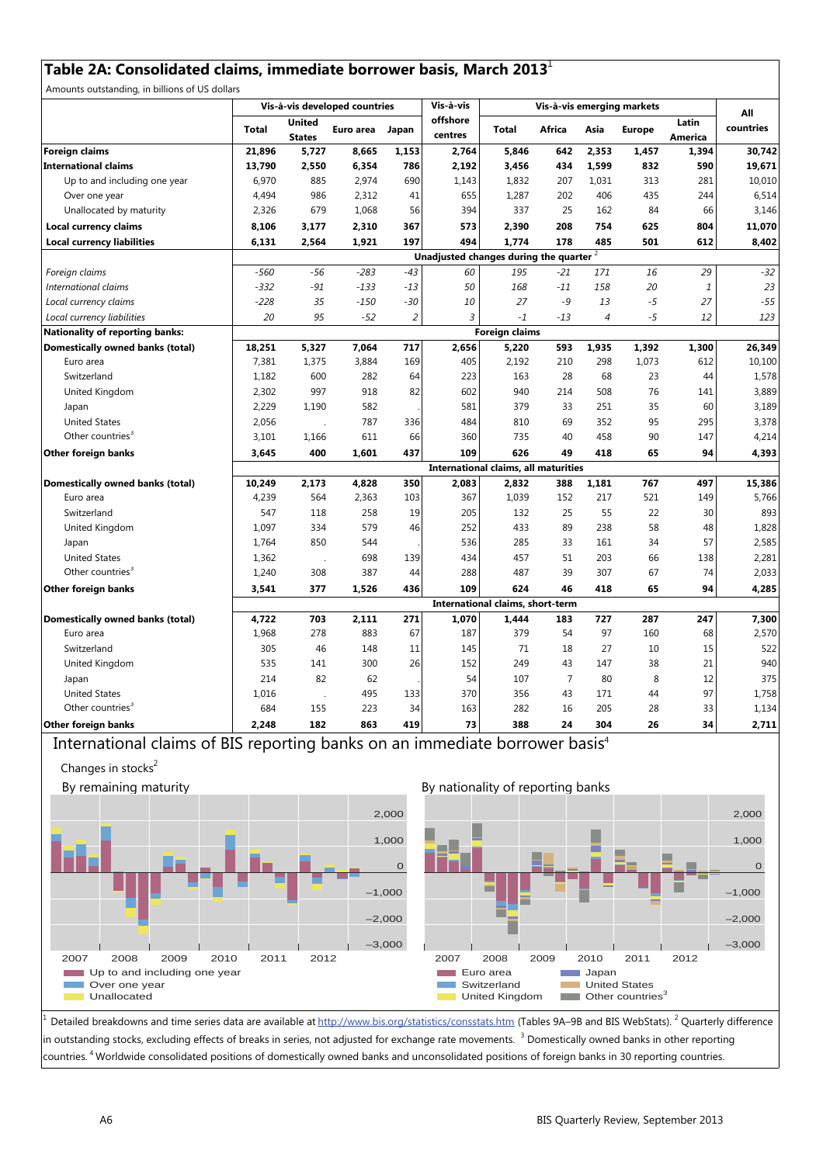## **Table 2A: Consolidated claims, immediate borrower basis, March 2013**<sup>1</sup>

Amounts outstanding, in billions of US dollars

| offshore<br><b>United</b><br>Latin<br><b>Africa</b><br><b>Total</b><br>Asia<br><b>Europe</b><br>Euro area<br>Japan<br>Total<br>centres<br><b>States</b><br><b>America</b><br>642<br>1,457<br><b>Foreign claims</b><br>21,896<br>5,727<br>8,665<br>1,153<br>2,764<br>5,846<br>2,353<br>1,394<br><b>International claims</b><br>13,790<br>2,550<br>6,354<br>786<br>2,192<br>3,456<br>434<br>1,599<br>832<br>590<br>Up to and including one year<br>6,970<br>885<br>2,974<br>690<br>1,143<br>1,832<br>207<br>1,031<br>313<br>281<br>406<br>4,494<br>986<br>2,312<br>41<br>655<br>1,287<br>202<br>435<br>244<br>Over one year<br>Unallocated by maturity<br>679<br>1,068<br>394<br>337<br>25<br>84<br>2,326<br>56<br>162<br>66<br>367<br>573<br>2,390<br>208<br>625<br>Local currency claims<br>8,106<br>3,177<br>2,310<br>754<br>804<br>1,921<br>197<br>494<br>1,774<br>178<br>485<br>501<br>612<br><b>Local currency liabilities</b><br>6,131<br>2,564<br>Unadjusted changes during the quarter $^2$<br>$-43$<br>60<br>29<br>$-560$<br>$-56$<br>$-283$<br>195<br>$-21$<br>171<br>16<br>Foreign claims<br>$-13$<br>50<br>International claims<br>$-332$<br>$-91$<br>$-133$<br>168<br>$-11$<br>158<br>20<br>$\mathfrak 1$<br>35<br>$-30$<br>10<br>-9<br>$-5$<br>27<br>$-228$<br>$-150$<br>27<br>13<br>Local currency claims<br>$\overline{a}$<br>20<br>95<br>3<br>$-1$<br>$-5$<br>12<br>$-52$<br>$-13$<br>Local currency liabilities<br>$\overline{4}$<br><b>Foreign claims</b><br><b>Nationality of reporting banks:</b><br>18,251<br>717<br>2,656<br>5,220<br>1,300<br><b>Domestically owned banks (total)</b><br>5,327<br>7,064<br>593<br>1,935<br>1,392<br>3,884<br>169<br>405<br>2,192<br>298<br>1,073<br>7,381<br>1,375<br>210<br>612<br>Euro area | All<br>countries<br>30,742 |
|------------------------------------------------------------------------------------------------------------------------------------------------------------------------------------------------------------------------------------------------------------------------------------------------------------------------------------------------------------------------------------------------------------------------------------------------------------------------------------------------------------------------------------------------------------------------------------------------------------------------------------------------------------------------------------------------------------------------------------------------------------------------------------------------------------------------------------------------------------------------------------------------------------------------------------------------------------------------------------------------------------------------------------------------------------------------------------------------------------------------------------------------------------------------------------------------------------------------------------------------------------------------------------------------------------------------------------------------------------------------------------------------------------------------------------------------------------------------------------------------------------------------------------------------------------------------------------------------------------------------------------------------------------------------------------------------------------------------------------------------------|----------------------------|
|                                                                                                                                                                                                                                                                                                                                                                                                                                                                                                                                                                                                                                                                                                                                                                                                                                                                                                                                                                                                                                                                                                                                                                                                                                                                                                                                                                                                                                                                                                                                                                                                                                                                                                                                                      |                            |
|                                                                                                                                                                                                                                                                                                                                                                                                                                                                                                                                                                                                                                                                                                                                                                                                                                                                                                                                                                                                                                                                                                                                                                                                                                                                                                                                                                                                                                                                                                                                                                                                                                                                                                                                                      |                            |
|                                                                                                                                                                                                                                                                                                                                                                                                                                                                                                                                                                                                                                                                                                                                                                                                                                                                                                                                                                                                                                                                                                                                                                                                                                                                                                                                                                                                                                                                                                                                                                                                                                                                                                                                                      | 19,671                     |
|                                                                                                                                                                                                                                                                                                                                                                                                                                                                                                                                                                                                                                                                                                                                                                                                                                                                                                                                                                                                                                                                                                                                                                                                                                                                                                                                                                                                                                                                                                                                                                                                                                                                                                                                                      | 10,010                     |
|                                                                                                                                                                                                                                                                                                                                                                                                                                                                                                                                                                                                                                                                                                                                                                                                                                                                                                                                                                                                                                                                                                                                                                                                                                                                                                                                                                                                                                                                                                                                                                                                                                                                                                                                                      | 6,514                      |
|                                                                                                                                                                                                                                                                                                                                                                                                                                                                                                                                                                                                                                                                                                                                                                                                                                                                                                                                                                                                                                                                                                                                                                                                                                                                                                                                                                                                                                                                                                                                                                                                                                                                                                                                                      | 3,146                      |
|                                                                                                                                                                                                                                                                                                                                                                                                                                                                                                                                                                                                                                                                                                                                                                                                                                                                                                                                                                                                                                                                                                                                                                                                                                                                                                                                                                                                                                                                                                                                                                                                                                                                                                                                                      | 11,070                     |
|                                                                                                                                                                                                                                                                                                                                                                                                                                                                                                                                                                                                                                                                                                                                                                                                                                                                                                                                                                                                                                                                                                                                                                                                                                                                                                                                                                                                                                                                                                                                                                                                                                                                                                                                                      | 8,402                      |
|                                                                                                                                                                                                                                                                                                                                                                                                                                                                                                                                                                                                                                                                                                                                                                                                                                                                                                                                                                                                                                                                                                                                                                                                                                                                                                                                                                                                                                                                                                                                                                                                                                                                                                                                                      |                            |
|                                                                                                                                                                                                                                                                                                                                                                                                                                                                                                                                                                                                                                                                                                                                                                                                                                                                                                                                                                                                                                                                                                                                                                                                                                                                                                                                                                                                                                                                                                                                                                                                                                                                                                                                                      | $-32$                      |
|                                                                                                                                                                                                                                                                                                                                                                                                                                                                                                                                                                                                                                                                                                                                                                                                                                                                                                                                                                                                                                                                                                                                                                                                                                                                                                                                                                                                                                                                                                                                                                                                                                                                                                                                                      | 23                         |
|                                                                                                                                                                                                                                                                                                                                                                                                                                                                                                                                                                                                                                                                                                                                                                                                                                                                                                                                                                                                                                                                                                                                                                                                                                                                                                                                                                                                                                                                                                                                                                                                                                                                                                                                                      | $-55$                      |
|                                                                                                                                                                                                                                                                                                                                                                                                                                                                                                                                                                                                                                                                                                                                                                                                                                                                                                                                                                                                                                                                                                                                                                                                                                                                                                                                                                                                                                                                                                                                                                                                                                                                                                                                                      | 123                        |
|                                                                                                                                                                                                                                                                                                                                                                                                                                                                                                                                                                                                                                                                                                                                                                                                                                                                                                                                                                                                                                                                                                                                                                                                                                                                                                                                                                                                                                                                                                                                                                                                                                                                                                                                                      |                            |
|                                                                                                                                                                                                                                                                                                                                                                                                                                                                                                                                                                                                                                                                                                                                                                                                                                                                                                                                                                                                                                                                                                                                                                                                                                                                                                                                                                                                                                                                                                                                                                                                                                                                                                                                                      | 26,349                     |
|                                                                                                                                                                                                                                                                                                                                                                                                                                                                                                                                                                                                                                                                                                                                                                                                                                                                                                                                                                                                                                                                                                                                                                                                                                                                                                                                                                                                                                                                                                                                                                                                                                                                                                                                                      | 10,100                     |
| 600<br>282<br>223<br>28<br>68<br>23<br>44<br>Switzerland<br>1,182<br>64<br>163                                                                                                                                                                                                                                                                                                                                                                                                                                                                                                                                                                                                                                                                                                                                                                                                                                                                                                                                                                                                                                                                                                                                                                                                                                                                                                                                                                                                                                                                                                                                                                                                                                                                       | 1,578                      |
| 2,302<br>997<br>918<br>82<br>602<br>940<br>214<br>508<br>76<br>United Kingdom<br>141                                                                                                                                                                                                                                                                                                                                                                                                                                                                                                                                                                                                                                                                                                                                                                                                                                                                                                                                                                                                                                                                                                                                                                                                                                                                                                                                                                                                                                                                                                                                                                                                                                                                 | 3,889                      |
| 2,229<br>1,190<br>582<br>581<br>379<br>33<br>251<br>35<br>60<br>Japan                                                                                                                                                                                                                                                                                                                                                                                                                                                                                                                                                                                                                                                                                                                                                                                                                                                                                                                                                                                                                                                                                                                                                                                                                                                                                                                                                                                                                                                                                                                                                                                                                                                                                | 3,189                      |
| <b>United States</b><br>2,056<br>787<br>336<br>810<br>69<br>352<br>95<br>295<br>484                                                                                                                                                                                                                                                                                                                                                                                                                                                                                                                                                                                                                                                                                                                                                                                                                                                                                                                                                                                                                                                                                                                                                                                                                                                                                                                                                                                                                                                                                                                                                                                                                                                                  | 3,378                      |
| Other countries <sup>3</sup><br>3,101<br>611<br>66<br>360<br>735<br>40<br>458<br>90<br>147<br>1,166                                                                                                                                                                                                                                                                                                                                                                                                                                                                                                                                                                                                                                                                                                                                                                                                                                                                                                                                                                                                                                                                                                                                                                                                                                                                                                                                                                                                                                                                                                                                                                                                                                                  | 4,214                      |
| 400<br>437<br>109<br>626<br>49<br>65<br>Other foreign banks<br>3,645<br>1,601<br>418<br>94                                                                                                                                                                                                                                                                                                                                                                                                                                                                                                                                                                                                                                                                                                                                                                                                                                                                                                                                                                                                                                                                                                                                                                                                                                                                                                                                                                                                                                                                                                                                                                                                                                                           | 4,393                      |
| <b>International claims, all maturities</b>                                                                                                                                                                                                                                                                                                                                                                                                                                                                                                                                                                                                                                                                                                                                                                                                                                                                                                                                                                                                                                                                                                                                                                                                                                                                                                                                                                                                                                                                                                                                                                                                                                                                                                          |                            |
| 10,249<br>2,173<br>4,828<br>350<br>2,083<br>2,832<br>388<br>1,181<br>767<br>497<br><b>Domestically owned banks (total)</b>                                                                                                                                                                                                                                                                                                                                                                                                                                                                                                                                                                                                                                                                                                                                                                                                                                                                                                                                                                                                                                                                                                                                                                                                                                                                                                                                                                                                                                                                                                                                                                                                                           | 15,386                     |
| 2,363<br>103<br>367<br>1,039<br>521<br>4,239<br>564<br>152<br>217<br>149<br>Euro area                                                                                                                                                                                                                                                                                                                                                                                                                                                                                                                                                                                                                                                                                                                                                                                                                                                                                                                                                                                                                                                                                                                                                                                                                                                                                                                                                                                                                                                                                                                                                                                                                                                                | 5,766                      |
| 258<br>25<br>55<br>22<br>Switzerland<br>547<br>118<br>19<br>205<br>132<br>30                                                                                                                                                                                                                                                                                                                                                                                                                                                                                                                                                                                                                                                                                                                                                                                                                                                                                                                                                                                                                                                                                                                                                                                                                                                                                                                                                                                                                                                                                                                                                                                                                                                                         | 893                        |
| 579<br>252<br>89<br>238<br>58<br>48<br>1,097<br>334<br>46<br>433<br>United Kingdom                                                                                                                                                                                                                                                                                                                                                                                                                                                                                                                                                                                                                                                                                                                                                                                                                                                                                                                                                                                                                                                                                                                                                                                                                                                                                                                                                                                                                                                                                                                                                                                                                                                                   | 1,828                      |
| 850<br>285<br>33<br>34<br>57<br>1,764<br>544<br>536<br>161<br>Japan                                                                                                                                                                                                                                                                                                                                                                                                                                                                                                                                                                                                                                                                                                                                                                                                                                                                                                                                                                                                                                                                                                                                                                                                                                                                                                                                                                                                                                                                                                                                                                                                                                                                                  | 2,585                      |
| 698<br>139<br>51<br>203<br>66<br><b>United States</b><br>1,362<br>434<br>457<br>138<br>$\overline{a}$                                                                                                                                                                                                                                                                                                                                                                                                                                                                                                                                                                                                                                                                                                                                                                                                                                                                                                                                                                                                                                                                                                                                                                                                                                                                                                                                                                                                                                                                                                                                                                                                                                                | 2,281                      |
| Other countries <sup>3</sup><br>387<br>288<br>487<br>39<br>74<br>308<br>44<br>307<br>67<br>1,240                                                                                                                                                                                                                                                                                                                                                                                                                                                                                                                                                                                                                                                                                                                                                                                                                                                                                                                                                                                                                                                                                                                                                                                                                                                                                                                                                                                                                                                                                                                                                                                                                                                     | 2,033                      |
| 109<br>Other foreign banks<br>3,541<br>377<br>1,526<br>436<br>624<br>46<br>418<br>65<br>94                                                                                                                                                                                                                                                                                                                                                                                                                                                                                                                                                                                                                                                                                                                                                                                                                                                                                                                                                                                                                                                                                                                                                                                                                                                                                                                                                                                                                                                                                                                                                                                                                                                           | 4,285                      |
| <b>International claims, short-term</b>                                                                                                                                                                                                                                                                                                                                                                                                                                                                                                                                                                                                                                                                                                                                                                                                                                                                                                                                                                                                                                                                                                                                                                                                                                                                                                                                                                                                                                                                                                                                                                                                                                                                                                              |                            |
| 4,722<br>703<br>2,111<br>271<br>1,070<br>1,444<br>727<br>287<br>247<br>Domestically owned banks (total)<br>183                                                                                                                                                                                                                                                                                                                                                                                                                                                                                                                                                                                                                                                                                                                                                                                                                                                                                                                                                                                                                                                                                                                                                                                                                                                                                                                                                                                                                                                                                                                                                                                                                                       | 7,300                      |
| 187<br>1,968<br>278<br>883<br>67<br>379<br>54<br>97<br>68<br>Euro area<br>160                                                                                                                                                                                                                                                                                                                                                                                                                                                                                                                                                                                                                                                                                                                                                                                                                                                                                                                                                                                                                                                                                                                                                                                                                                                                                                                                                                                                                                                                                                                                                                                                                                                                        | 2,570                      |
| 305<br>46<br>148<br>11<br>145<br>27<br>10<br>15<br>Switzerland<br>71<br>18                                                                                                                                                                                                                                                                                                                                                                                                                                                                                                                                                                                                                                                                                                                                                                                                                                                                                                                                                                                                                                                                                                                                                                                                                                                                                                                                                                                                                                                                                                                                                                                                                                                                           | 522                        |
| 26<br>38<br>535<br>141<br>300<br>152<br>249<br>43<br>147<br>21<br>United Kingdom                                                                                                                                                                                                                                                                                                                                                                                                                                                                                                                                                                                                                                                                                                                                                                                                                                                                                                                                                                                                                                                                                                                                                                                                                                                                                                                                                                                                                                                                                                                                                                                                                                                                     | 940                        |
| 82<br>$\overline{7}$<br>8<br>214<br>62<br>54<br>107<br>80<br>12<br>Japan                                                                                                                                                                                                                                                                                                                                                                                                                                                                                                                                                                                                                                                                                                                                                                                                                                                                                                                                                                                                                                                                                                                                                                                                                                                                                                                                                                                                                                                                                                                                                                                                                                                                             | 375                        |
| 495<br>97<br><b>United States</b><br>1,016<br>370<br>356<br>43<br>44<br>133<br>171                                                                                                                                                                                                                                                                                                                                                                                                                                                                                                                                                                                                                                                                                                                                                                                                                                                                                                                                                                                                                                                                                                                                                                                                                                                                                                                                                                                                                                                                                                                                                                                                                                                                   | 1,758                      |
| Other countries <sup>3</sup><br>684<br>155<br>223<br>34<br>163<br>282<br>16<br>205<br>28<br>33                                                                                                                                                                                                                                                                                                                                                                                                                                                                                                                                                                                                                                                                                                                                                                                                                                                                                                                                                                                                                                                                                                                                                                                                                                                                                                                                                                                                                                                                                                                                                                                                                                                       | 1,134                      |
| Other foreign banks<br>2,248<br>182<br>863<br>419<br>73<br>388<br>24<br>304<br>26<br>34                                                                                                                                                                                                                                                                                                                                                                                                                                                                                                                                                                                                                                                                                                                                                                                                                                                                                                                                                                                                                                                                                                                                                                                                                                                                                                                                                                                                                                                                                                                                                                                                                                                              | 2,711                      |

## International claims of BIS reporting banks on an immediate borrower basis<sup>4</sup>



 $^1$  Detailed breakdowns and time series data are available at http://www.bis.org/statistics/consstats.htm (Tables 9A–9B and BIS WebStats). <sup>2</sup> Quarterly difference in outstanding stocks, excluding effects of breaks in series, not adjusted for exchange rate movements. <sup>3</sup> Domestically owned banks in other reporting countries.<sup>4</sup> Worldwide consolidated positions of domestically owned banks and unconsolidated positions of foreign banks in 30 reporting countries.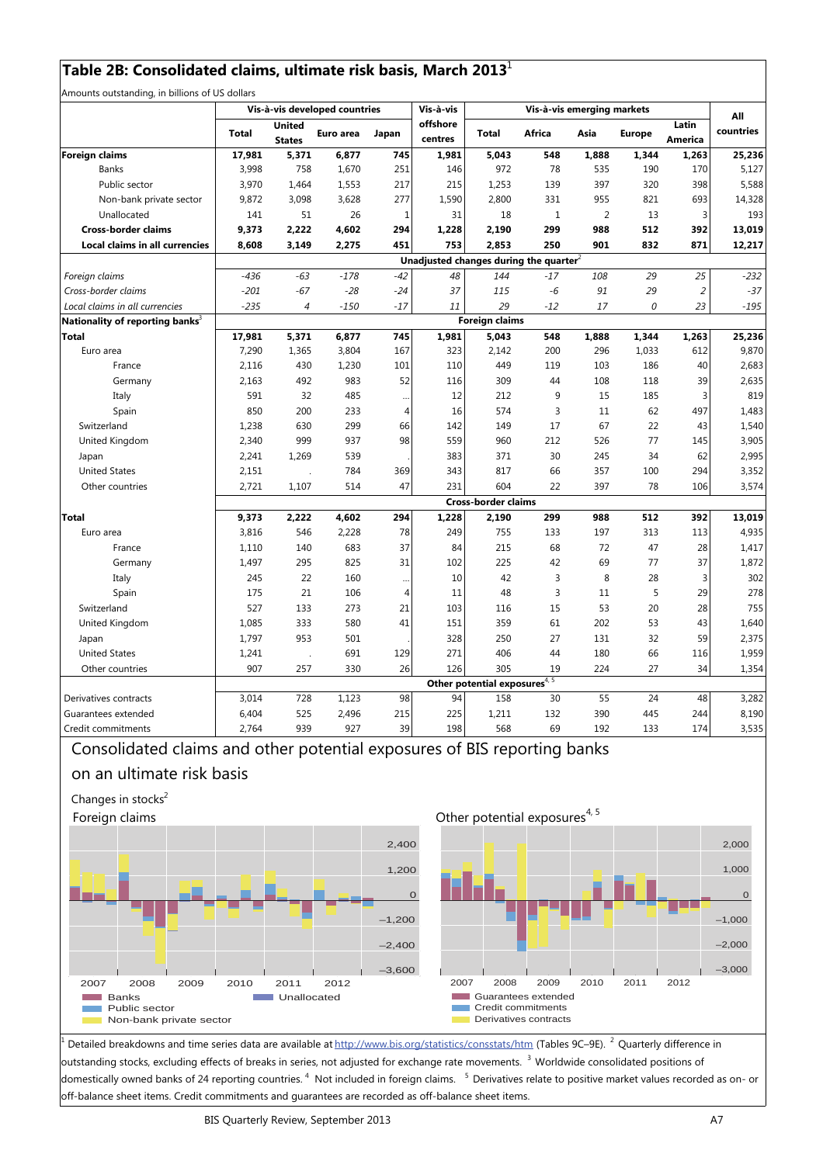## **Table 2B: Consolidated claims, ultimate risk basis, March 2013**<sup>1</sup>

Amounts outstanding, in billions of US dollars

|                                             |                                           |                                | Vis-à-vis developed countries |                | Vis-à-vis                                  | Vis-à-vis emerging markets |                |                |               |                  | All       |
|---------------------------------------------|-------------------------------------------|--------------------------------|-------------------------------|----------------|--------------------------------------------|----------------------------|----------------|----------------|---------------|------------------|-----------|
|                                             | <b>Total</b>                              | <b>United</b><br><b>States</b> | Euro area                     | Japan          | offshore<br>centres                        | <b>Total</b>               | Africa         | Asia           | <b>Europe</b> | Latin<br>America | countries |
| <b>Foreign claims</b>                       | 17,981                                    | 5,371                          | 6,877                         | 745            | 1,981                                      | 5,043                      | 548            | 1,888          | 1,344         | 1,263            | 25,236    |
| <b>Banks</b>                                | 3,998                                     | 758                            | 1,670                         | 251            | 146                                        | 972                        | 78             | 535            | 190           | 170              | 5,127     |
| Public sector                               | 3,970                                     | 1,464                          | 1,553                         | 217            | 215                                        | 1,253                      | 139            | 397            | 320           | 398              | 5,588     |
| Non-bank private sector                     | 9,872                                     | 3,098                          | 3,628                         | 277            | 1,590                                      | 2,800                      | 331            | 955            | 821           | 693              | 14,328    |
| Unallocated                                 | 141                                       | 51                             | 26                            | 1              | 31                                         | 18                         | $\mathbf{1}$   | $\overline{2}$ | 13            | $\overline{3}$   | 193       |
| <b>Cross-border claims</b>                  | 9,373                                     | 2,222                          | 4,602                         | 294            | 1,228                                      | 2,190                      | 299            | 988            | 512           | 392              | 13,019    |
| <b>Local claims in all currencies</b>       | 8,608                                     | 3,149                          | 2,275                         | 451            | 753                                        | 2,853                      | 250            | 901            | 832           | 871              | 12,217    |
|                                             |                                           |                                |                               |                | Unadjusted changes during the quarter $^2$ |                            |                |                |               |                  |           |
| Foreign claims                              | -436                                      | -63                            | $-178$                        | $-42$          | 48                                         | 144                        | $-17$          | 108            | 29            | 25               | $-232$    |
| Cross-border claims                         | $-201$                                    | $-67$                          | $-28$                         | -24            | 37                                         | 115                        | -6             | 91             | 29            | $\overline{a}$   | $-37$     |
| Local claims in all currencies              | $-235$                                    | $\sqrt{4}$                     | $-150$                        | $-17$          | 11                                         | 29                         | $-12$          | 17             | 0             | 23               | $-195$    |
| Nationality of reporting banks <sup>3</sup> |                                           |                                |                               |                |                                            | <b>Foreign claims</b>      |                |                |               |                  |           |
| <b>Total</b>                                | 17,981                                    | 5,371                          | 6,877                         | 745            | 1,981                                      | 5,043                      | 548            | 1,888          | 1,344         | 1,263            | 25,236    |
| Euro area                                   | 7,290                                     | 1,365                          | 3,804                         | 167            | 323                                        | 2,142                      | 200            | 296            | 1,033         | 612              | 9,870     |
| France                                      | 2,116                                     | 430                            | 1,230                         | 101            | 110                                        | 449                        | 119            | 103            | 186           | 40               | 2,683     |
| Germany                                     | 2,163                                     | 492                            | 983                           | 52             | 116                                        | 309                        | 44             | 108            | 118           | 39               | 2,635     |
| Italy                                       | 591                                       | 32                             | 485                           | $\ddotsc$      | 12                                         | 212                        | 9              | 15             | 185           | 3                | 819       |
| Spain                                       | 850                                       | 200                            | 233                           | $\overline{4}$ | 16                                         | 574                        | 3              | 11             | 62            | 497              | 1,483     |
| Switzerland                                 | 1,238                                     | 630                            | 299                           | 66             | 142                                        | 149                        | 17             | 67             | 22            | 43               | 1,540     |
| United Kingdom                              | 2,340                                     | 999                            | 937                           | 98             | 559                                        | 960                        | 212            | 526            | 77            | 145              | 3,905     |
| Japan                                       | 2,241                                     | 1,269                          | 539                           |                | 383                                        | 371                        | 30             | 245            | 34            | 62               | 2,995     |
| <b>United States</b>                        | 2,151                                     |                                | 784                           | 369            | 343                                        | 817                        | 66             | 357            | 100           | 294              | 3,352     |
| Other countries                             | 2,721                                     | 1,107                          | 514                           | 47             | 231                                        | 604                        | 22             | 397            | 78            | 106              | 3,574     |
|                                             |                                           |                                |                               |                |                                            | <b>Cross-border claims</b> |                |                |               |                  |           |
| <b>Total</b>                                | 9,373                                     | 2,222                          | 4,602                         | 294            | 1,228                                      | 2,190                      | 299            | 988            | 512           | 392              | 13,019    |
| Euro area                                   | 3,816                                     | 546                            | 2,228                         | 78             | 249                                        | 755                        | 133            | 197            | 313           | 113              | 4,935     |
| France                                      | 1,110                                     | 140                            | 683                           | 37             | 84                                         | 215                        | 68             | 72             | 47            | 28               | 1,417     |
| Germany                                     | 1,497                                     | 295                            | 825                           | 31             | 102                                        | 225                        | 42             | 69             | 77            | 37               | 1,872     |
| Italy                                       | 245                                       | 22                             | 160                           |                | 10                                         | 42                         | 3              | 8              | 28            | $\overline{3}$   | 302       |
| Spain                                       | 175                                       | 21                             | 106                           | $\overline{4}$ | 11                                         | 48                         | $\overline{3}$ | 11             | 5             | 29               | 278       |
| Switzerland                                 | 527                                       | 133                            | 273                           | 21             | 103                                        | 116                        | 15             | 53             | 20            | 28               | 755       |
| United Kingdom                              | 1,085                                     | 333                            | 580                           | 41             | 151                                        | 359                        | 61             | 202            | 53            | 43               | 1,640     |
| Japan                                       | 1,797                                     | 953                            | 501                           |                | 328                                        | 250                        | 27             | 131            | 32            | 59               | 2,375     |
| <b>United States</b>                        | 1,241                                     |                                | 691                           | 129            | 271                                        | 406                        | 44             | 180            | 66            | 116              | 1,959     |
| Other countries                             | 907                                       | 257                            | 330                           | 26             | 126                                        | 305                        | 19             | 224            | 27            | 34               | 1,354     |
|                                             | Other potential exposures <sup>4, 5</sup> |                                |                               |                |                                            |                            |                |                |               |                  |           |
| Derivatives contracts                       | 3,014                                     | 728                            | 1,123                         | 98             | 94                                         | 158                        | 30             | 55             | 24            | 48               | 3,282     |
| Guarantees extended                         | 6,404                                     | 525                            | 2,496                         | 215            | 225                                        | 1,211                      | 132            | 390            | 445           | 244              | 8,190     |
| Credit commitments                          | 2,764                                     | 939                            | 927                           | 39             | 198                                        | 568                        | 69             | 192            | 133           | 174              | 3,535     |

## Consolidated claims and other potential exposures of BIS reporting banks

## on an ultimate risk basis

Changes in stocks $2$ 





 $^{\rm 1}$  Detailed breakdowns and time series data are available at http://www.bis.org/statistics/consstats/htm (Tables 9C–9E). <sup>2</sup> Quarterly difference in outstanding stocks, excluding effects of breaks in series, not adjusted for exchange rate movements. <sup>3</sup> Worldwide consolidated positions of domestically owned banks of 24 reporting countries. <sup>4</sup> Not included in foreign claims. <sup>5</sup> Derivatives relate to positive market values recorded as on- or off-balance sheet items. Credit commitments and guarantees are recorded as off-balance sheet items.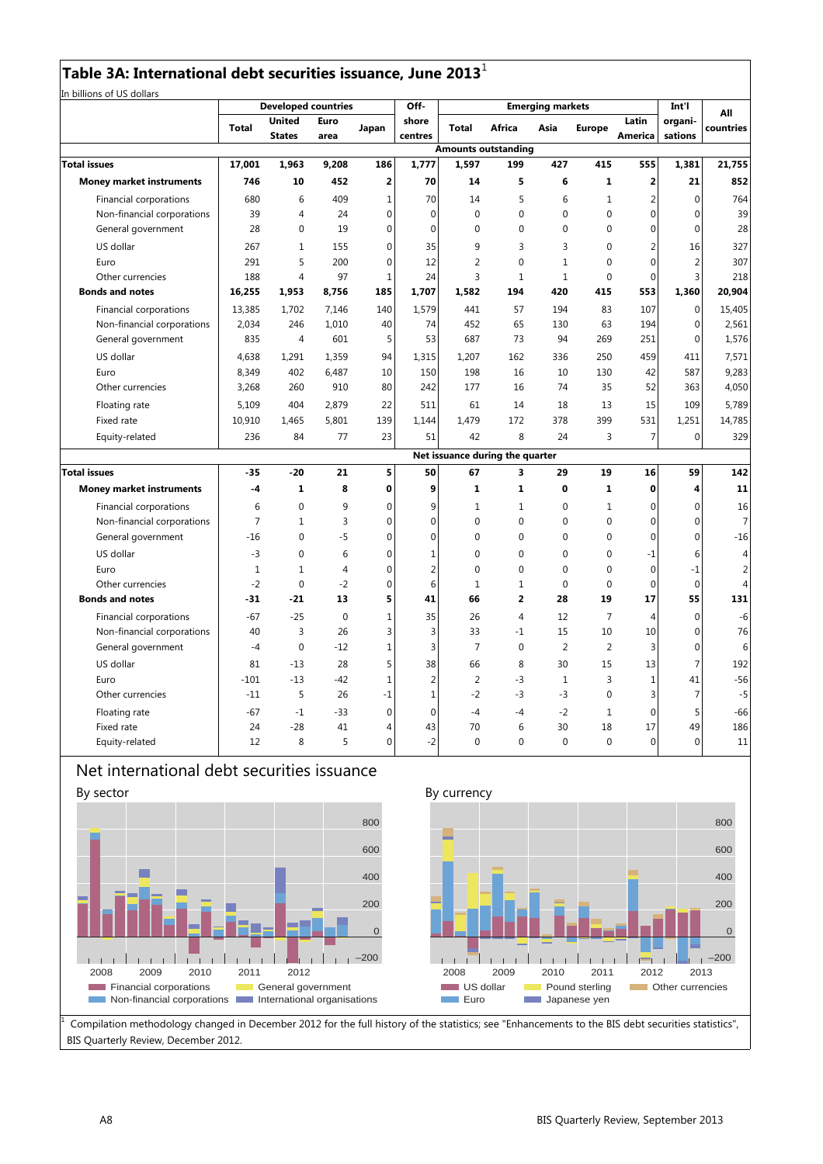| In billions of US dollars       |                | <b>Developed countries</b>     |                |                  | Off-             |                |                                 | <b>Emerging markets</b> |                |                         | Int'l              |                  |
|---------------------------------|----------------|--------------------------------|----------------|------------------|------------------|----------------|---------------------------------|-------------------------|----------------|-------------------------|--------------------|------------------|
|                                 | <b>Total</b>   | <b>United</b><br><b>States</b> | Euro<br>area   | Japan            | shore<br>centres | <b>Total</b>   | Africa                          | Asia                    | <b>Europe</b>  | Latin<br><b>America</b> | organi-<br>sations | All<br>countries |
|                                 |                |                                |                |                  |                  |                | <b>Amounts outstanding</b>      |                         |                |                         |                    |                  |
| <b>Total issues</b>             | 17,001         | 1,963                          | 9,208          | 186              | 1,777            | 1,597          | 199                             | 427                     | 415            | 555                     | 1,381              | 21,755           |
| <b>Money market instruments</b> | 746            | 10                             | 452            | $\overline{2}$   | 70               | 14             | 5                               | 6                       | $\mathbf{1}$   | $\overline{2}$          | 21                 | 852              |
| Financial corporations          | 680            | 6                              | 409            | 1                | 70               | 14             | 5                               | 6                       | $\mathbf 1$    | $\overline{2}$          | $\mathbf 0$        | 764              |
| Non-financial corporations      | 39             | 4                              | 24             | $\mathbf 0$      | $\mathbf 0$      | $\mathbf 0$    | $\mathbf 0$                     | $\mathbf 0$             | $\mathbf 0$    | $\mathbf 0$             | $\mathbf 0$        | 39               |
| General government              | 28             | $\pmb{0}$                      | 19             | $\mathbf 0$      | $\mathbf 0$      | $\Omega$       | $\mathbf 0$                     | $\mathbf 0$             | $\mathbf 0$    | $\mathbf 0$             | $\mathbf 0$        | 28               |
| US dollar                       | 267            | $\mathbf{1}$                   | 155            | $\Omega$         | 35               | 9              | 3                               | 3                       | $\Omega$       | $\overline{2}$          | 16                 | 327              |
| Euro                            | 291            | 5                              | 200            | $\mathbf{0}$     | 12               | $\overline{2}$ | $\mathbf 0$                     | $\mathbf{1}$            | $\mathbf{0}$   | $\mathbf 0$             | 2                  | 307              |
| Other currencies                | 188            | $\overline{4}$                 | 97             | $\mathbf{1}$     | 24               | 3              | $\mathbf{1}$                    | $\mathbf{1}$            | $\mathbf 0$    | $\mathbf{0}$            | 3                  | 218              |
| <b>Bonds and notes</b>          | 16,255         | 1,953                          | 8,756          | 185              | 1,707            | 1,582          | 194                             | 420                     | 415            | 553                     | 1,360              | 20,904           |
| Financial corporations          | 13,385         | 1,702                          | 7,146          | 140              | 1,579            | 441            | 57                              | 194                     | 83             | 107                     | $\mathbf 0$        | 15,405           |
| Non-financial corporations      | 2,034          | 246                            | 1,010          | 40               | 74               | 452            | 65                              | 130                     | 63             | 194                     | 0                  | 2,561            |
| General government              | 835            | $\overline{4}$                 | 601            | 5                | 53               | 687            | 73                              | 94                      | 269            | 251                     | $\mathbf 0$        | 1,576            |
| US dollar                       | 4,638          | 1,291                          | 1,359          | 94               | 1,315            | 1,207          | 162                             | 336                     | 250            | 459                     | 411                | 7,571            |
| Euro                            | 8,349          | 402                            | 6,487          | 10               | 150              | 198            | 16                              | 10                      | 130            | 42                      | 587                | 9,283            |
| Other currencies                | 3,268          | 260                            | 910            | 80               | 242              | 177            | 16                              | 74                      | 35             | 52                      | 363                | 4,050            |
| Floating rate                   | 5,109          | 404                            | 2,879          | 22               | 511              | 61             | 14                              | 18                      | 13             | 15                      | 109                | 5,789            |
| Fixed rate                      | 10,910         | 1,465                          | 5,801          | 139              | 1,144            | 1,479          | 172                             | 378                     | 399            | 531                     | 1,251              | 14,785           |
| Equity-related                  | 236            | 84                             | 77             | 23               | 51               | 42             | 8                               | 24                      | 3              | $\overline{7}$          | $\Omega$           | 329              |
|                                 |                |                                |                |                  |                  |                | Net issuance during the quarter |                         |                |                         |                    |                  |
| <b>Total issues</b>             | $-35$          | $-20$                          | 21             | 5                | 50               | 67             | 3                               | 29                      | 19             | 16                      | 59                 | 142              |
| <b>Money market instruments</b> | $-4$           | 1                              | 8              | 0                | 9                | 1              | $\mathbf{1}$                    | $\mathbf 0$             | 1              | 0                       | 4                  | 11               |
| Financial corporations          | 6              | $\mathbf 0$                    | 9              | $\mathbf{0}$     | 9                | $\mathbf{1}$   | 1                               | $\mathbf 0$             | $\mathbf{1}$   | $\mathbf 0$             | $\mathbf 0$        | 16               |
| Non-financial corporations      | $\overline{7}$ | $\mathbf{1}$                   | $\overline{3}$ | $\mathbf 0$      | $\overline{0}$   | 0              | $\mathbf 0$                     | $\mathbf{0}$            | $\mathbf 0$    | $\mathbf 0$             | $\mathbf 0$        | $\overline{7}$   |
| General government              | $-16$          | $\mathbf 0$                    | $-5$           | $\mathbf 0$      | $\overline{0}$   | $\Omega$       | $\mathbf 0$                     | $\mathbf{0}$            | $\Omega$       | $\mathbf 0$             | $\mathbf 0$        | $-16$            |
| US dollar                       | $-3$           | $\mathbf 0$                    | 6              | $\mathbf 0$      | $\mathbf{1}$     | $\mathbf 0$    | $\mathbf 0$                     | $\mathbf 0$             | $\mathbf 0$    | $-1$                    | 6                  | 4                |
| Euro                            | $\mathbf{1}$   | $1\,$                          | $\overline{4}$ | $\Omega$         | $\overline{c}$   | $\Omega$       | $\Omega$                        | $\Omega$                | $\Omega$       | $\mathbf 0$             | $-1$               | $\overline{2}$   |
| Other currencies                | $-2$           | $\pmb{0}$                      | $-2$           | $\boldsymbol{0}$ | 6                | 1              | 1                               | $\Omega$                | $\Omega$       | $\boldsymbol{0}$        | $\boldsymbol{0}$   | $\overline{4}$   |
| <b>Bonds and notes</b>          | $-31$          | $-21$                          | 13             | 5                | 41               | 66             | $\overline{\mathbf{2}}$         | 28                      | 19             | 17                      | 55                 | 131              |
| Financial corporations          | $-67$          | $-25$                          | $\mathbf{0}$   | $\mathbf{1}$     | 35               | 26             | 4                               | 12                      | $\overline{7}$ | $\overline{4}$          | $\mathbf 0$        | -6               |
| Non-financial corporations      | 40             | 3                              | 26             | 3                | 3                | 33             | $-1$                            | 15                      | 10             | 10                      | $\mathbf 0$        | 76               |
| General government              | $-4$           | $\mathbf 0$                    | $-12$          | $\mathbf{1}$     | 3                | $\overline{7}$ | $\mathbf 0$                     | $\overline{2}$          | $\overline{2}$ | $\overline{3}$          | $\mathbf 0$        | 6                |
| US dollar                       | 81             | $-13$                          | 28             | 5                | 38               | 66             | 8                               | 30                      | 15             | 13                      | 7                  | 192              |
| Euro                            | $-101$         | $-13$                          | $-42$          | $\mathbf 1$      | $\overline{2}$   | $\overline{2}$ | $-3$                            | $\mathbf{1}$            | 3              | $\mathbf{1}$            | 41                 | $-56$            |
| Other currencies                | $-11$          | 5                              | 26             | $-1$             | $\mathbf{1}$     | $-2$           | $-3$                            | $-3$                    | $\Omega$       | $\overline{3}$          | 7                  | $-5$             |
| Floating rate                   | $-67$          | $-1$                           | $-33$          | $\mathbf 0$      | $\mathbf 0$      | $-4$           | $-4$                            | $-2$                    | $\mathbf{1}$   | $\mathbf 0$             | 5                  | $-66$            |
| Fixed rate                      | 24             | $-28$                          | 41             | $\overline{4}$   | 43               | 70             | 6                               | 30                      | 18             | 17                      | 49                 | 186              |
| Equity-related                  | 12             | 8                              | 5              | $\Omega$         | $-2$             | $\Omega$       | $\Omega$                        | $\Omega$                | $\Omega$       | $\Omega$                | $\Omega$           | 11               |

## Net international debt securities issuance



BIS Quarterly Review, December 2012.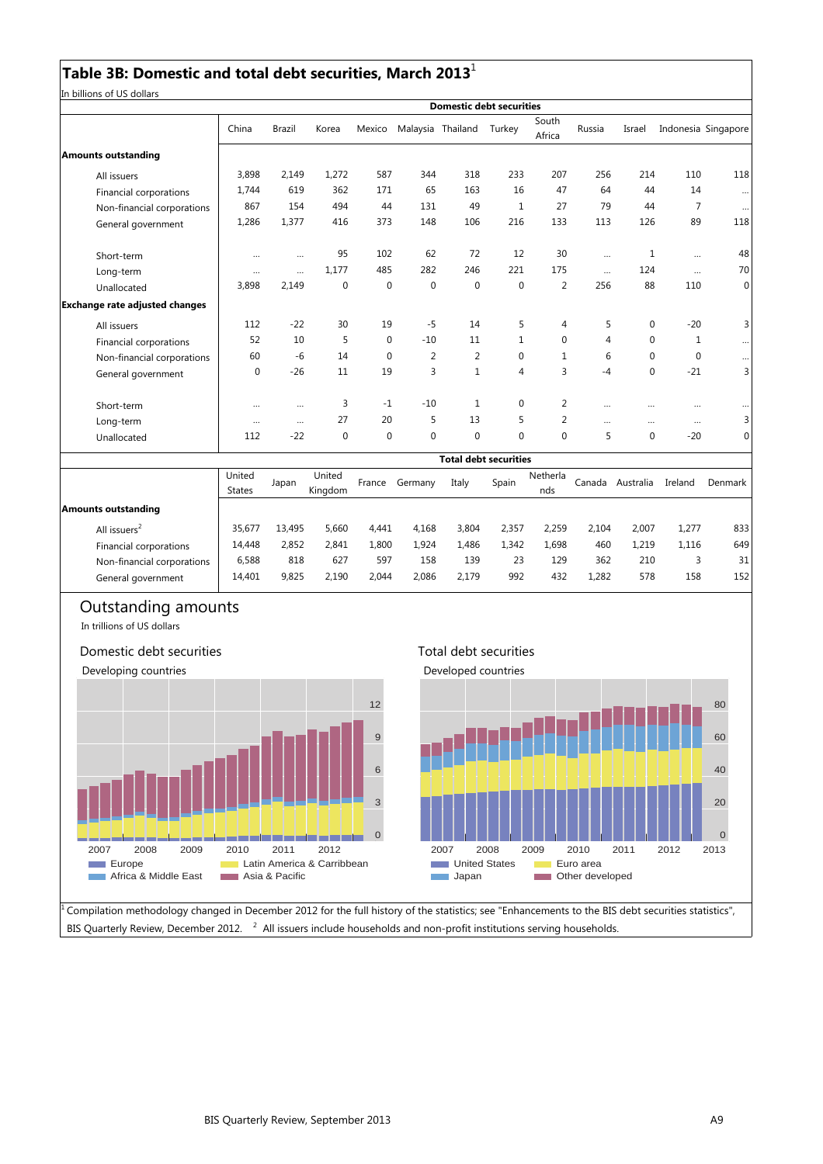## $\vert$ Table 3B: Domestic and total debt securities, March 2013 $^1$

In billions of US dollars

|                                       | <b>Domestic debt securities</b> |               |                   |              |                |                              |              |                 |          |           |              |                     |
|---------------------------------------|---------------------------------|---------------|-------------------|--------------|----------------|------------------------------|--------------|-----------------|----------|-----------|--------------|---------------------|
|                                       | China                           | <b>Brazil</b> | Korea             | Mexico       |                | Malaysia Thailand            | Turkey       | South<br>Africa | Russia   | Israel    |              | Indonesia Singapore |
| <b>Amounts outstanding</b>            |                                 |               |                   |              |                |                              |              |                 |          |           |              |                     |
| All issuers                           | 3,898                           | 2,149         | 1,272             | 587          | 344            | 318                          | 233          | 207             | 256      | 214       | 110          | 118                 |
| Financial corporations                | 1,744                           | 619           | 362               | 171          | 65             | 163                          | 16           | 47              | 64       | 44        | 14           | $\cdots$            |
| Non-financial corporations            | 867                             | 154           | 494               | 44           | 131            | 49                           | 1            | 27              | 79       | 44        | 7            | $\cdots$            |
| General government                    | 1,286                           | 1,377         | 416               | 373          | 148            | 106                          | 216          | 133             | 113      | 126       | 89           | 118                 |
| Short-term                            | $\cdots$                        | $\cdots$      | 95                | 102          | 62             | 72                           | 12           | 30              | $\cdots$ | 1         |              | 48                  |
| Long-term                             | $\cdots$                        | $\cdots$      | 1,177             | 485          | 282            | 246                          | 221          | 175             | $\cdots$ | 124       | $\cdots$     | 70                  |
| Unallocated                           | 3,898                           | 2,149         | $\mathbf 0$       | $\mathbf{0}$ | $\mathbf 0$    | $\mathbf{0}$                 | $\mathbf{0}$ | $\overline{2}$  | 256      | 88        | 110          | $\mathbf{0}$        |
| <b>Exchange rate adjusted changes</b> |                                 |               |                   |              |                |                              |              |                 |          |           |              |                     |
| All issuers                           | 112                             | $-22$         | 30                | 19           | $-5$           | 14                           | 5            | 4               | 5        | 0         | $-20$        | 3                   |
| Financial corporations                | 52                              | 10            | 5                 | $\mathbf{0}$ | $-10$          | 11                           | 1            | $\mathbf 0$     | 4        | 0         | $\mathbf{1}$ | $\cdots$            |
| Non-financial corporations            | 60                              | $-6$          | 14                | $\Omega$     | $\overline{2}$ | $\overline{2}$               | 0            | 1               | 6        | 0         | $\Omega$     | $\cdots$            |
| General government                    | $\mathbf{0}$                    | $-26$         | 11                | 19           | 3              | $\mathbf{1}$                 | 4            | 3               | $-4$     | 0         | $-21$        | 3                   |
| Short-term                            | $\cdots$                        |               | 3                 | $-1$         | $-10$          | 1                            | $\mathbf 0$  | 2               | $\cdots$ | $\cdots$  | $\cdots$     |                     |
| Long-term                             | $\cdots$                        | $\cdots$      | 27                | 20           | 5              | 13                           | 5            | 2               |          | $\cdots$  | $\cdots$     | 3                   |
| Unallocated                           | 112                             | $-22$         | $\mathbf 0$       | $\mathbf{0}$ | $\mathbf 0$    | $\mathbf{0}$                 | 0            | $\mathbf 0$     | 5        | 0         | $-20$        | $\mathbf 0$         |
|                                       |                                 |               |                   |              |                | <b>Total debt securities</b> |              |                 |          |           |              |                     |
|                                       | United<br><b>States</b>         | Japan         | United<br>Kingdom | France       | Germany        | Italy                        | Spain        | Netherla<br>nds | Canada   | Australia | Ireland      | Denmark             |
| <b>Amounts outstanding</b>            |                                 |               |                   |              |                |                              |              |                 |          |           |              |                     |
| All issuers <sup>2</sup>              | 35,677                          | 13,495        | 5,660             | 4,441        | 4,168          | 3,804                        | 2,357        | 2,259           | 2,104    | 2,007     | 1,277        | 833                 |

Financial corporations | 14,448 2,852 2,841 1,800 1,924 1,486 1,342 1,698 460 1,219 1,116 649 Non-financial corporations 6,588 818 627 597 158 139 23 129 362 210 3 31 General government | 14,401 9,825 2,190 2,044 2,086 2,179 992 432 1,282 578 158 152

## Outstanding amounts

In trillions of US dollars

### Domestic debt securities



## Total debt securities



Compilation methodology changed in December 2012 for the full history of the statistics; see "Enhancements to the BIS debt securities statistics", BIS Quarterly Review, December 2012. <sup>2</sup> All issuers include households and non-profit institutions serving households.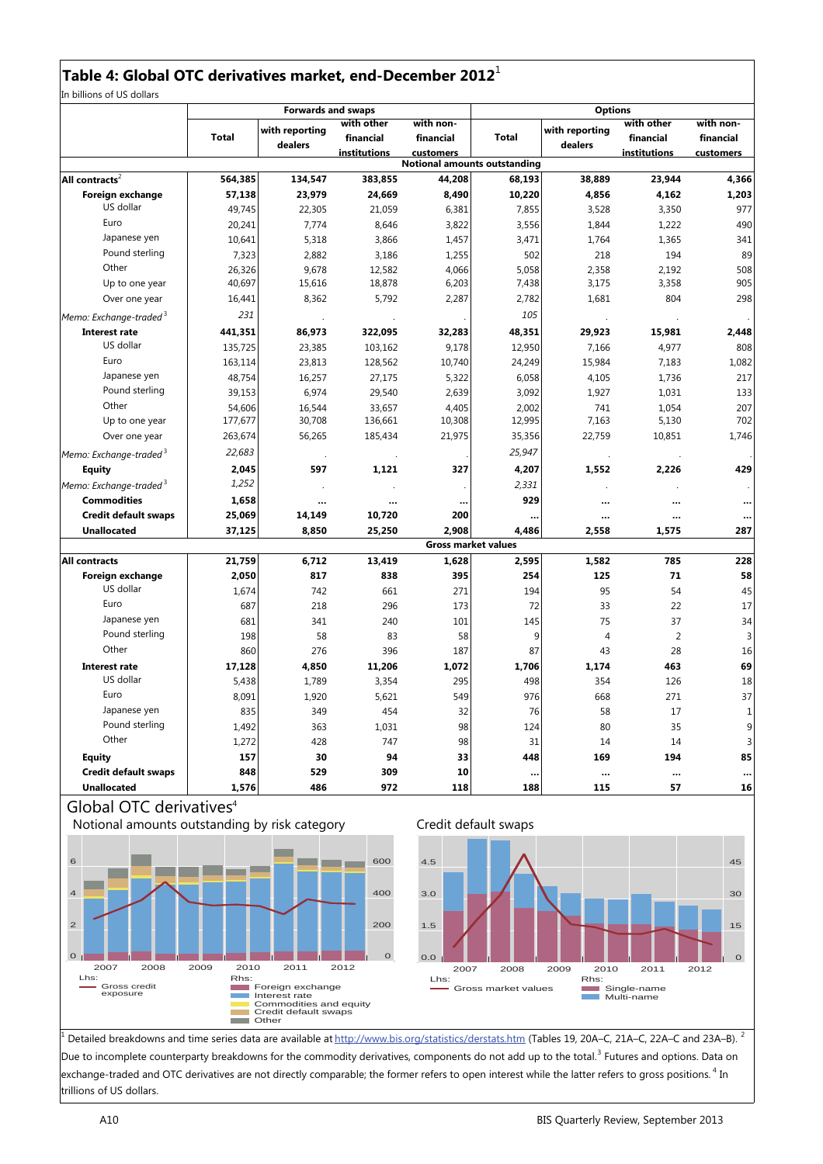## **Table 4: Global OTC derivatives market, end-December 2012**<sup>1</sup>

In billions of US dollars

|                                    |              | <b>Forwards and swaps</b> |                |                                     |              | <b>Options</b> |                |              |  |  |  |
|------------------------------------|--------------|---------------------------|----------------|-------------------------------------|--------------|----------------|----------------|--------------|--|--|--|
|                                    |              | with reporting            | with other     | with non-                           |              | with reporting | with other     | with non-    |  |  |  |
|                                    | <b>Total</b> | dealers                   | financial      | financial                           | <b>Total</b> | dealers        | financial      | financial    |  |  |  |
|                                    |              |                           | institutions   | customers                           |              |                | institutions   | customers    |  |  |  |
|                                    |              |                           |                | <b>Notional amounts outstanding</b> |              |                |                |              |  |  |  |
| All contracts $2$                  | 564,385      | 134,547                   | 383,855        | 44,208                              | 68,193       | 38,889         | 23,944         | 4,366        |  |  |  |
| Foreign exchange                   | 57,138       | 23,979                    | 24,669         | 8,490                               | 10,220       | 4,856          | 4,162          | 1,203        |  |  |  |
| US dollar                          | 49,745       | 22,305                    | 21,059         | 6,381                               | 7,855        | 3,528          | 3,350          | 977          |  |  |  |
| Euro                               | 20,241       | 7,774                     | 8,646          | 3,822                               | 3,556        | 1,844          | 1,222          | 490          |  |  |  |
| Japanese yen                       | 10,641       | 5,318                     | 3,866          | 1,457                               | 3,471        | 1,764          | 1,365          | 341          |  |  |  |
| Pound sterling                     | 7,323        | 2,882                     | 3,186          | 1,255                               | 502          | 218            | 194            | 89           |  |  |  |
| Other                              | 26,326       | 9,678                     | 12,582         | 4,066                               | 5,058        | 2,358          | 2,192          | 508          |  |  |  |
| Up to one year                     | 40,697       | 15,616                    | 18,878         | 6,203                               | 7,438        | 3,175          | 3,358          | 905          |  |  |  |
| Over one year                      | 16,441       | 8,362                     | 5,792          | 2,287                               | 2,782        | 1,681          | 804            | 298          |  |  |  |
| Memo: Exchange-traded <sup>3</sup> | 231          |                           |                |                                     | 105          |                |                |              |  |  |  |
| <b>Interest rate</b>               | 441,351      | 86,973                    | 322,095        | 32,283                              | 48,351       | 29,923         | 15,981         | 2,448        |  |  |  |
| US dollar                          | 135,725      | 23,385                    | 103,162        | 9,178                               | 12,950       | 7,166          | 4,977          | 808          |  |  |  |
| Euro                               | 163,114      | 23,813                    | 128,562        | 10,740                              | 24,249       | 15,984         | 7,183          | 1,082        |  |  |  |
| Japanese yen                       | 48,754       | 16,257                    | 27,175         | 5,322                               | 6,058        | 4,105          | 1,736          | 217          |  |  |  |
| Pound sterling                     | 39,153       | 6,974                     | 29,540         | 2,639                               | 3,092        | 1,927          | 1,031          | 133          |  |  |  |
| Other                              | 54,606       | 16,544                    | 33,657         | 4,405                               | 2,002        | 741            | 1,054          | 207          |  |  |  |
| Up to one year                     | 177,677      | 30,708                    | 136,661        | 10,308                              | 12,995       | 7,163          | 5,130          | 702          |  |  |  |
| Over one year                      | 263,674      | 56,265                    | 185,434        | 21,975                              | 35,356       | 22,759         | 10,851         | 1,746        |  |  |  |
| Memo: Exchange-traded <sup>3</sup> | 22,683       |                           |                |                                     | 25,947       |                |                |              |  |  |  |
| <b>Equity</b>                      | 2,045        | 597                       | 1,121          | 327                                 | 4,207        | 1,552          | 2,226          | 429          |  |  |  |
| Memo: Exchange-traded <sup>3</sup> | 1,252        |                           |                |                                     | 2,331        |                |                |              |  |  |  |
| <b>Commodities</b>                 | 1,658        |                           |                | $\ddotsc$                           | 929          |                |                |              |  |  |  |
| <b>Credit default swaps</b>        | 25,069       | 14,149                    | 10,720         | 200                                 |              |                |                |              |  |  |  |
| <b>Unallocated</b>                 | 37,125       | 8,850                     | 25,250         | 2,908                               | 4.486        | 2,558          | 1,575          | 287          |  |  |  |
|                                    |              |                           |                | <b>Gross market values</b>          |              |                |                |              |  |  |  |
| <b>All contracts</b>               | 21,759       | 6,712                     | 13,419         | 1,628                               | 2,595        | 1,582          | 785            | 228          |  |  |  |
| Foreign exchange                   | 2,050        | 817                       | 838            | 395                                 | 254          | 125            | 71             | 58           |  |  |  |
| US dollar                          | 1,674        | 742                       | 661            | 271                                 | 194          | 95             | 54             | 45           |  |  |  |
| Euro                               | 687          | 218                       | 296            | 173                                 | 72           | 33             | 22             | 17           |  |  |  |
| Japanese yen                       | 681          | 341                       | 240            | 101                                 | 145          | 75             | 37             | 34           |  |  |  |
| Pound sterling                     | 198          | 58                        | 83             | 58                                  | 9            | $\overline{4}$ | $\overline{2}$ | 3            |  |  |  |
| Other                              | 860          | 276                       | 396            | 187                                 | 87           | 43             | 28             | 16           |  |  |  |
| <b>Interest rate</b>               | 17,128       | 4,850                     | 11,206         | 1,072                               | 1,706        | 1,174          | 463            | 69           |  |  |  |
| US dollar                          | 5,438        | 1,789                     |                | 295                                 | 498          | 354            | 126            | 18           |  |  |  |
| Euro                               | 8,091        | 1,920                     | 3,354<br>5,621 | 549                                 | 976          | 668            | 271            | 37           |  |  |  |
| Japanese yen                       |              |                           |                |                                     |              |                |                |              |  |  |  |
| Pound sterling                     | 835          | 349                       | 454            | 32                                  | 76           | 58             | 17             | $\mathbf{1}$ |  |  |  |
| Other                              | 1,492        | 363                       | 1,031          | 98                                  | 124          | 80             | 35             | 9            |  |  |  |
|                                    | 1,272        | 428                       | 747            | 98                                  | 31           | 14             | 14             | 3            |  |  |  |
| <b>Equity</b>                      | 157          | 30                        | 94             | 33                                  | 448          | 169            | 194            | 85           |  |  |  |
| <b>Credit default swaps</b>        | 848          | 529                       | 309            | 10                                  |              |                |                |              |  |  |  |
| <b>Unallocated</b>                 | 1,576        | 486                       | 972            | 118                                 | 188          | 115            | 57             | 16           |  |  |  |

## Global OTC derivatives<sup>4</sup>





<sup>1</sup> Detailed breakdowns and time series data are available at http://www.bis.org/statistics/derstats.htm (Tables 19, 20A–C, 21A–C, 22A–C and 23A–B). <sup>2</sup> Due to incomplete counterparty breakdowns for the commodity derivatives, components do not add up to the total.<sup>3</sup> Futures and options. Data on exchange-traded and OTC derivatives are not directly comparable; the former refers to open interest while the latter refers to gross positions.<sup>4</sup> In trillions of US dollars.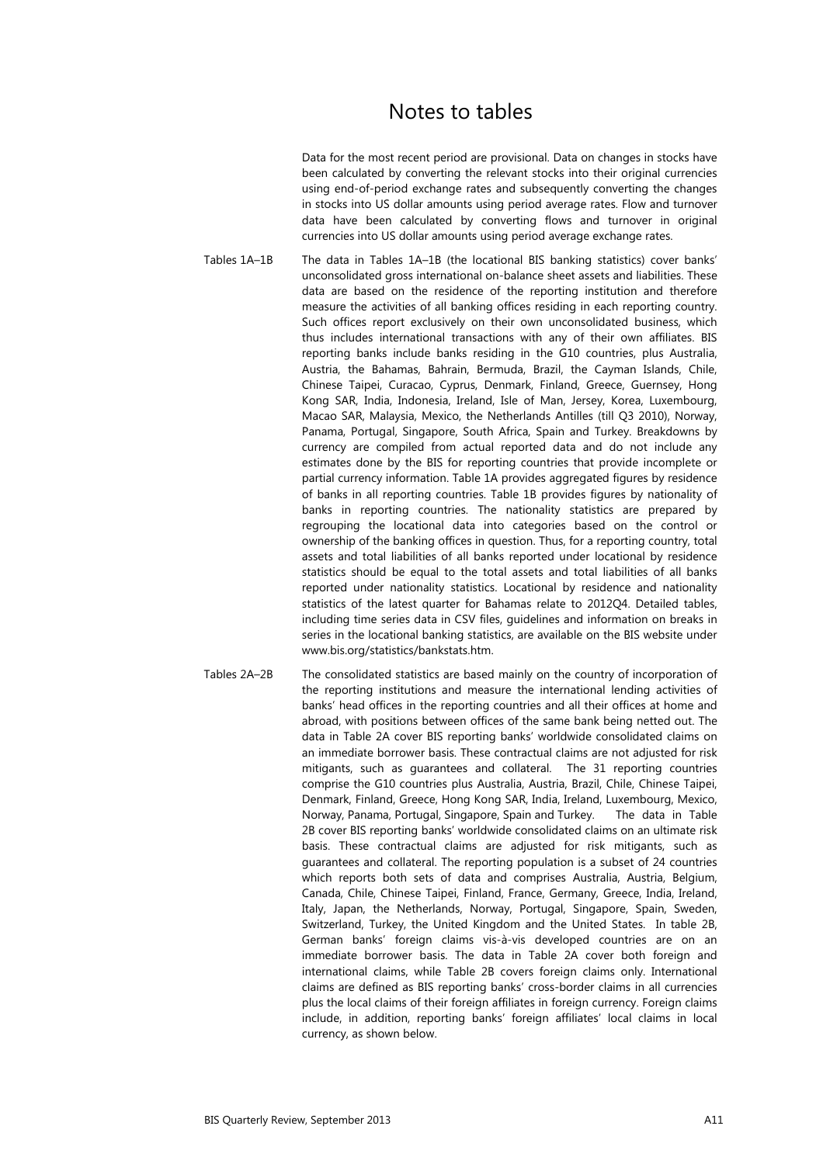## Notes to tables

Data for the most recent period are provisional. Data on changes in stocks have been calculated by converting the relevant stocks into their original currencies using end-of-period exchange rates and subsequently converting the changes in stocks into US dollar amounts using period average rates. Flow and turnover data have been calculated by converting flows and turnover in original currencies into US dollar amounts using period average exchange rates.

Tables 1A–1B The data in Tables 1A–1B (the locational BIS banking statistics) cover banks' unconsolidated gross international on-balance sheet assets and liabilities. These data are based on the residence of the reporting institution and therefore measure the activities of all banking offices residing in each reporting country. Such offices report exclusively on their own unconsolidated business, which thus includes international transactions with any of their own affiliates. BIS reporting banks include banks residing in the G10 countries, plus Australia, Austria, the Bahamas, Bahrain, Bermuda, Brazil, the Cayman Islands, Chile, Chinese Taipei, Curacao, Cyprus, Denmark, Finland, Greece, Guernsey, Hong Kong SAR, India, Indonesia, Ireland, Isle of Man, Jersey, Korea, Luxembourg, Macao SAR, Malaysia, Mexico, the Netherlands Antilles (till Q3 2010), Norway, Panama, Portugal, Singapore, South Africa, Spain and Turkey. Breakdowns by currency are compiled from actual reported data and do not include any estimates done by the BIS for reporting countries that provide incomplete or partial currency information. Table 1A provides aggregated figures by residence of banks in all reporting countries. Table 1B provides figures by nationality of banks in reporting countries. The nationality statistics are prepared by regrouping the locational data into categories based on the control or ownership of the banking offices in question. Thus, for a reporting country, total assets and total liabilities of all banks reported under locational by residence statistics should be equal to the total assets and total liabilities of all banks reported under nationality statistics. Locational by residence and nationality statistics of the latest quarter for Bahamas relate to 2012Q4. Detailed tables, including time series data in CSV files, guidelines and information on breaks in series in the locational banking statistics, are available on the BIS website under www.bis.org/statistics/bankstats.htm.

Tables 2A–2B The consolidated statistics are based mainly on the country of incorporation of the reporting institutions and measure the international lending activities of banks' head offices in the reporting countries and all their offices at home and abroad, with positions between offices of the same bank being netted out. The data in Table 2A cover BIS reporting banks' worldwide consolidated claims on an immediate borrower basis. These contractual claims are not adjusted for risk mitigants, such as guarantees and collateral. The 31 reporting countries comprise the G10 countries plus Australia, Austria, Brazil, Chile, Chinese Taipei, Denmark, Finland, Greece, Hong Kong SAR, India, Ireland, Luxembourg, Mexico, Norway, Panama, Portugal, Singapore, Spain and Turkey. The data in Table 2B cover BIS reporting banks' worldwide consolidated claims on an ultimate risk basis. These contractual claims are adjusted for risk mitigants, such as guarantees and collateral. The reporting population is a subset of 24 countries which reports both sets of data and comprises Australia, Austria, Belgium, Canada, Chile, Chinese Taipei, Finland, France, Germany, Greece, India, Ireland, Italy, Japan, the Netherlands, Norway, Portugal, Singapore, Spain, Sweden, Switzerland, Turkey, the United Kingdom and the United States. In table 2B, German banks' foreign claims vis-à-vis developed countries are on an immediate borrower basis. The data in Table 2A cover both foreign and international claims, while Table 2B covers foreign claims only. International claims are defined as BIS reporting banks' cross-border claims in all currencies plus the local claims of their foreign affiliates in foreign currency. Foreign claims include, in addition, reporting banks' foreign affiliates' local claims in local currency, as shown below.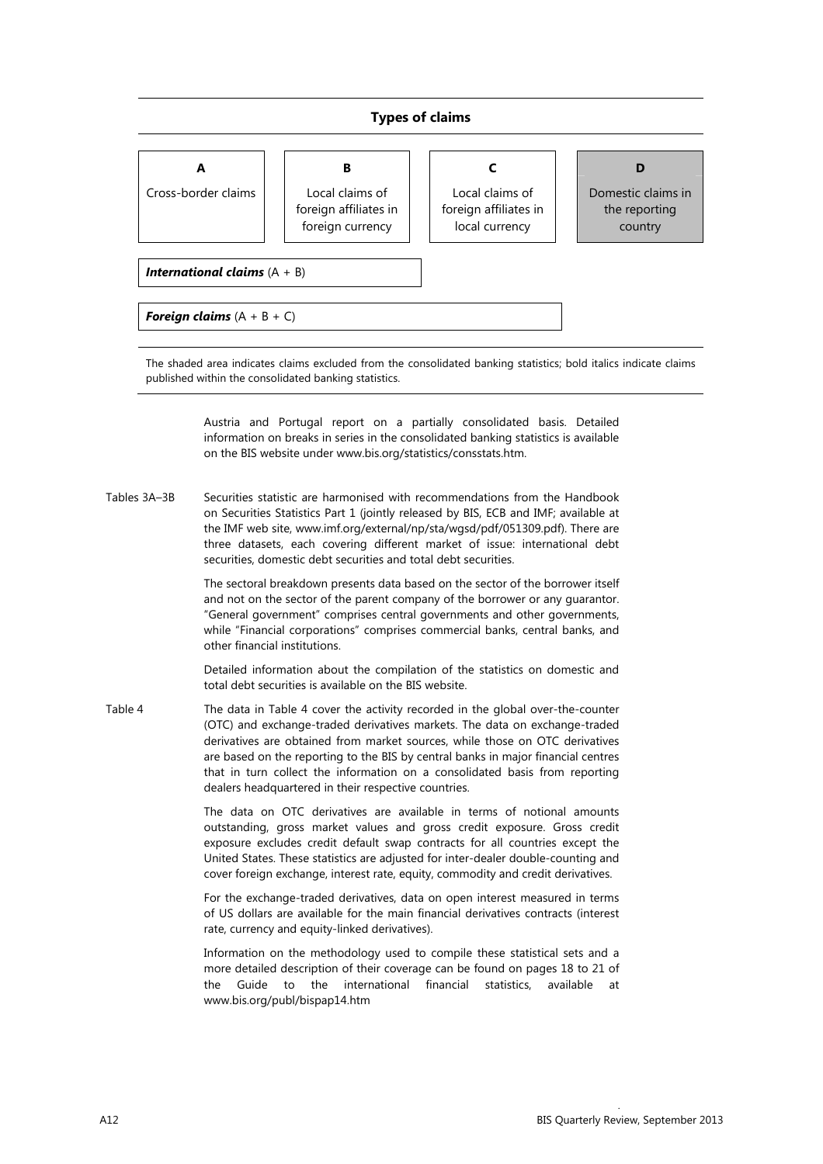### **Types of claims**

| А                                                                                                              | в                                                            |                                                            | D                                              |  |  |  |  |  |  |  |  |
|----------------------------------------------------------------------------------------------------------------|--------------------------------------------------------------|------------------------------------------------------------|------------------------------------------------|--|--|--|--|--|--|--|--|
| Cross-border claims                                                                                            | Local claims of<br>foreign affiliates in<br>foreign currency | Local claims of<br>foreign affiliates in<br>local currency | Domestic claims in<br>the reporting<br>country |  |  |  |  |  |  |  |  |
|                                                                                                                |                                                              |                                                            |                                                |  |  |  |  |  |  |  |  |
| <b>International claims</b> $(A + B)$                                                                          |                                                              |                                                            |                                                |  |  |  |  |  |  |  |  |
|                                                                                                                |                                                              |                                                            |                                                |  |  |  |  |  |  |  |  |
| <b>Foreign claims</b> $(A + B + C)$                                                                            |                                                              |                                                            |                                                |  |  |  |  |  |  |  |  |
|                                                                                                                |                                                              |                                                            |                                                |  |  |  |  |  |  |  |  |
| The chadad case indicates claims avuluded from the consolidated benling atoticies leald italianinalizate delin |                                                              |                                                            |                                                |  |  |  |  |  |  |  |  |

The shaded area indicates claims excluded from the consolidated banking statistics; bold italics indicate claims published within the consolidated banking statistics.

> Austria and Portugal report on a partially consolidated basis. Detailed information on breaks in series in the consolidated banking statistics is available on the BIS website under www.bis.org/statistics/consstats.htm.

Tables 3A–3B Securities statistic are harmonised with recommendations from the Handbook on Securities Statistics Part 1 (jointly released by BIS, ECB and IMF; available at the IMF web site, www.imf.org/external/np/sta/wgsd/pdf/051309.pdf). There are three datasets, each covering different market of issue: international debt securities, domestic debt securities and total debt securities.

> The sectoral breakdown presents data based on the sector of the borrower itself and not on the sector of the parent company of the borrower or any guarantor. "General government" comprises central governments and other governments, while "Financial corporations" comprises commercial banks, central banks, and other financial institutions.

> Detailed information about the compilation of the statistics on domestic and total debt securities is available on the BIS website.

Table 4 The data in Table 4 cover the activity recorded in the global over-the-counter (OTC) and exchange-traded derivatives markets. The data on exchange-traded derivatives are obtained from market sources, while those on OTC derivatives are based on the reporting to the BIS by central banks in major financial centres that in turn collect the information on a consolidated basis from reporting dealers headquartered in their respective countries.

> The data on OTC derivatives are available in terms of notional amounts outstanding, gross market values and gross credit exposure. Gross credit exposure excludes credit default swap contracts for all countries except the United States. These statistics are adjusted for inter-dealer double-counting and cover foreign exchange, interest rate, equity, commodity and credit derivatives.

> For the exchange-traded derivatives, data on open interest measured in terms of US dollars are available for the main financial derivatives contracts (interest rate, currency and equity-linked derivatives).

> Information on the methodology used to compile these statistical sets and a more detailed description of their coverage can be found on pages 18 to 21 of the Guide to the international financial statistics, available at www.bis.org/publ/bispap14.htm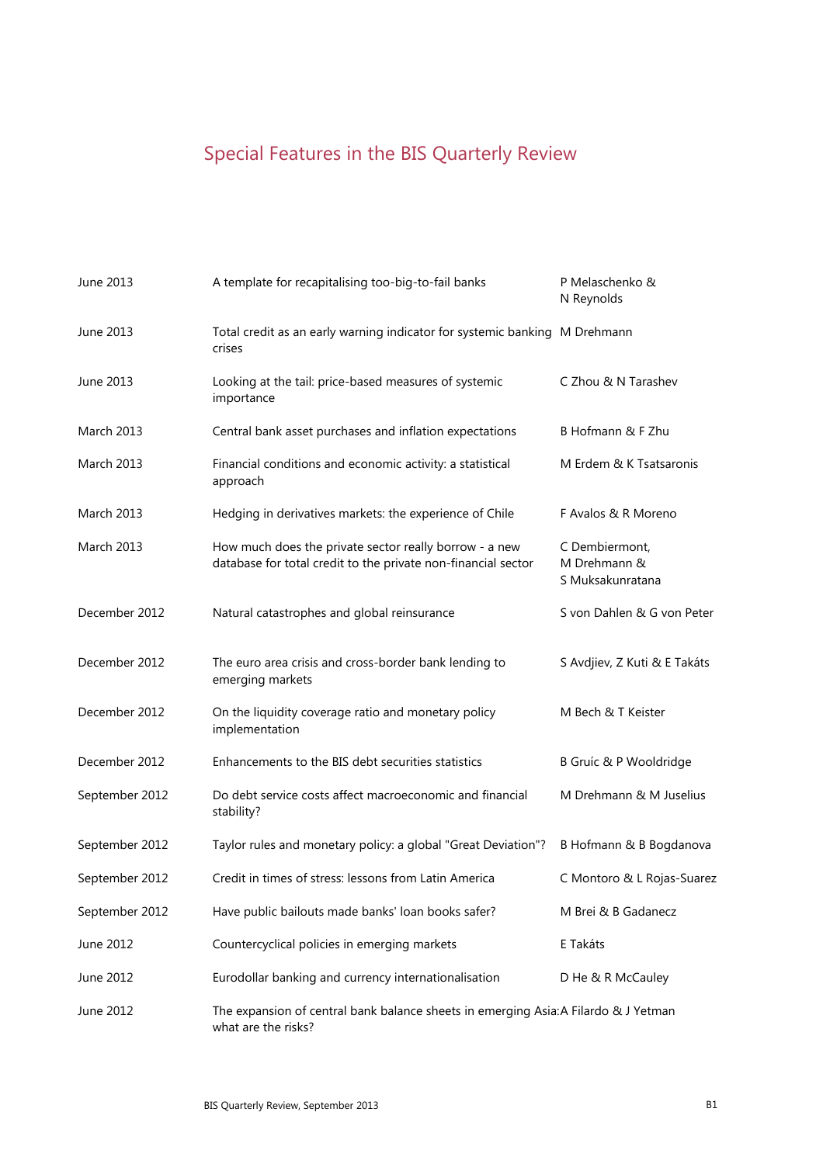# Special Features in the BIS Quarterly Review

| June 2013      | A template for recapitalising too-big-to-fail banks                                                                     | P Melaschenko &<br>N Reynolds                      |
|----------------|-------------------------------------------------------------------------------------------------------------------------|----------------------------------------------------|
| June 2013      | Total credit as an early warning indicator for systemic banking M Drehmann<br>crises                                    |                                                    |
| June 2013      | Looking at the tail: price-based measures of systemic<br>importance                                                     | C Zhou & N Tarashev                                |
| March 2013     | Central bank asset purchases and inflation expectations                                                                 | B Hofmann & F Zhu                                  |
| March 2013     | Financial conditions and economic activity: a statistical<br>approach                                                   | M Erdem & K Tsatsaronis                            |
| March 2013     | Hedging in derivatives markets: the experience of Chile                                                                 | F Avalos & R Moreno                                |
| March 2013     | How much does the private sector really borrow - a new<br>database for total credit to the private non-financial sector | C Dembiermont,<br>M Drehmann &<br>S Muksakunratana |
| December 2012  | Natural catastrophes and global reinsurance                                                                             | S von Dahlen & G von Peter                         |
| December 2012  | The euro area crisis and cross-border bank lending to<br>emerging markets                                               | S Avdjiev, Z Kuti & E Takáts                       |
| December 2012  | On the liquidity coverage ratio and monetary policy<br>implementation                                                   | M Bech & T Keister                                 |
| December 2012  | Enhancements to the BIS debt securities statistics                                                                      | B Gruíc & P Wooldridge                             |
| September 2012 | Do debt service costs affect macroeconomic and financial<br>stability?                                                  | M Drehmann & M Juselius                            |
| September 2012 | Taylor rules and monetary policy: a global "Great Deviation"?                                                           | B Hofmann & B Bogdanova                            |
| September 2012 | Credit in times of stress: lessons from Latin America                                                                   | C Montoro & L Rojas-Suarez                         |
| September 2012 | Have public bailouts made banks' loan books safer?                                                                      | M Brei & B Gadanecz                                |
| June 2012      | Countercyclical policies in emerging markets                                                                            | E Takáts                                           |
| June 2012      | Eurodollar banking and currency internationalisation                                                                    | D He & R McCauley                                  |
| June 2012      | The expansion of central bank balance sheets in emerging Asia:A Filardo & J Yetman<br>what are the risks?               |                                                    |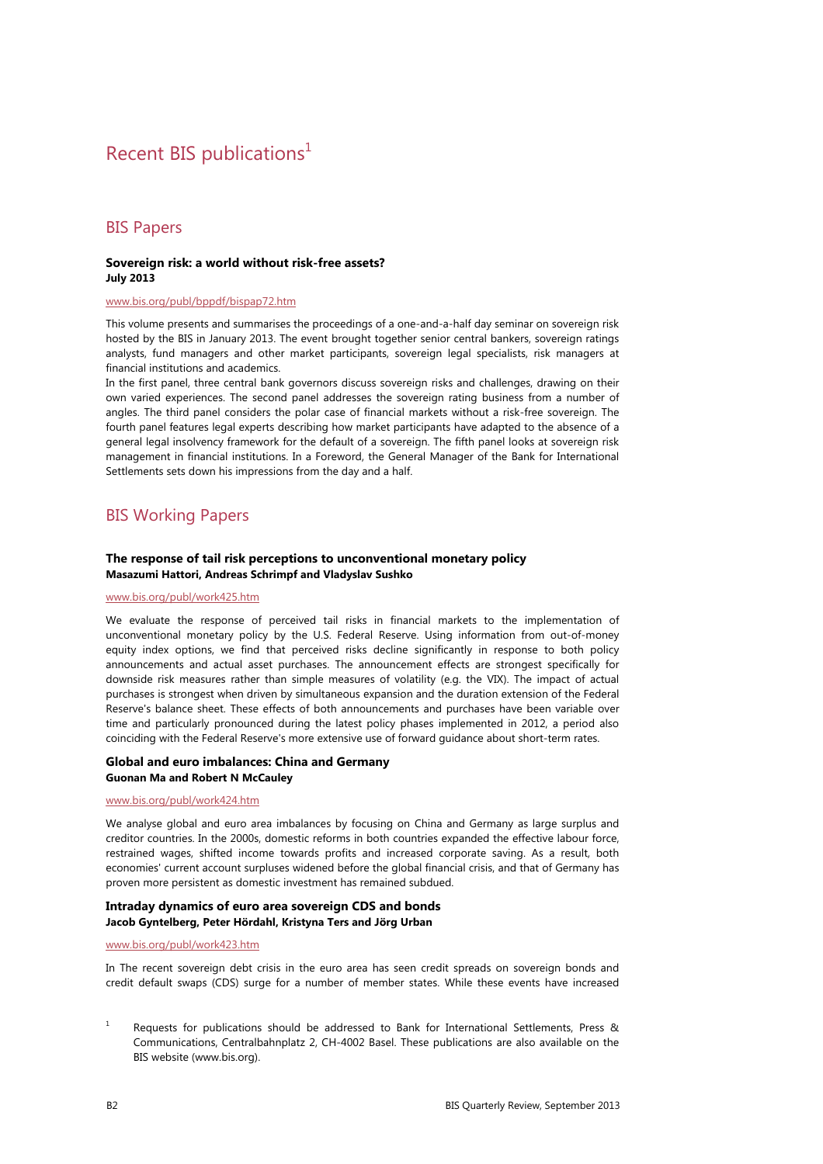## Recent BIS publications<sup>1</sup>

## BIS Papers

#### **Sovereign risk: a world without risk-free assets? July 2013**

#### www.bis.org/publ/bppdf/bispap72.htm

This volume presents and summarises the proceedings of a one-and-a-half day seminar on sovereign risk hosted by the BIS in January 2013. The event brought together senior central bankers, sovereign ratings analysts, fund managers and other market participants, sovereign legal specialists, risk managers at financial institutions and academics.

In the first panel, three central bank governors discuss sovereign risks and challenges, drawing on their own varied experiences. The second panel addresses the sovereign rating business from a number of angles. The third panel considers the polar case of financial markets without a risk-free sovereign. The fourth panel features legal experts describing how market participants have adapted to the absence of a general legal insolvency framework for the default of a sovereign. The fifth panel looks at sovereign risk management in financial institutions. In a Foreword, the General Manager of the Bank for International Settlements sets down his impressions from the day and a half.

## BIS Working Papers

#### **The response of tail risk perceptions to unconventional monetary policy Masazumi Hattori, Andreas Schrimpf and Vladyslav Sushko**

#### www.bis.org/publ/work425.htm

We evaluate the response of perceived tail risks in financial markets to the implementation of unconventional monetary policy by the U.S. Federal Reserve. Using information from out-of-money equity index options, we find that perceived risks decline significantly in response to both policy announcements and actual asset purchases. The announcement effects are strongest specifically for downside risk measures rather than simple measures of volatility (e.g. the VIX). The impact of actual purchases is strongest when driven by simultaneous expansion and the duration extension of the Federal Reserve's balance sheet. These effects of both announcements and purchases have been variable over time and particularly pronounced during the latest policy phases implemented in 2012, a period also coinciding with the Federal Reserve's more extensive use of forward guidance about short-term rates.

#### **Global and euro imbalances: China and Germany Guonan Ma and Robert N McCauley**

#### www.bis.org/publ/work424.htm

We analyse global and euro area imbalances by focusing on China and Germany as large surplus and creditor countries. In the 2000s, domestic reforms in both countries expanded the effective labour force, restrained wages, shifted income towards profits and increased corporate saving. As a result, both economies' current account surpluses widened before the global financial crisis, and that of Germany has proven more persistent as domestic investment has remained subdued.

#### **Intraday dynamics of euro area sovereign CDS and bonds Jacob Gyntelberg, Peter Hördahl, Kristyna Ters and Jörg Urban**

#### www.bis.org/publ/work423.htm

In The recent sovereign debt crisis in the euro area has seen credit spreads on sovereign bonds and credit default swaps (CDS) surge for a number of member states. While these events have increased

1 Requests for publications should be addressed to Bank for International Settlements, Press & Communications, Centralbahnplatz 2, CH-4002 Basel. These publications are also available on the BIS website (www.bis.org).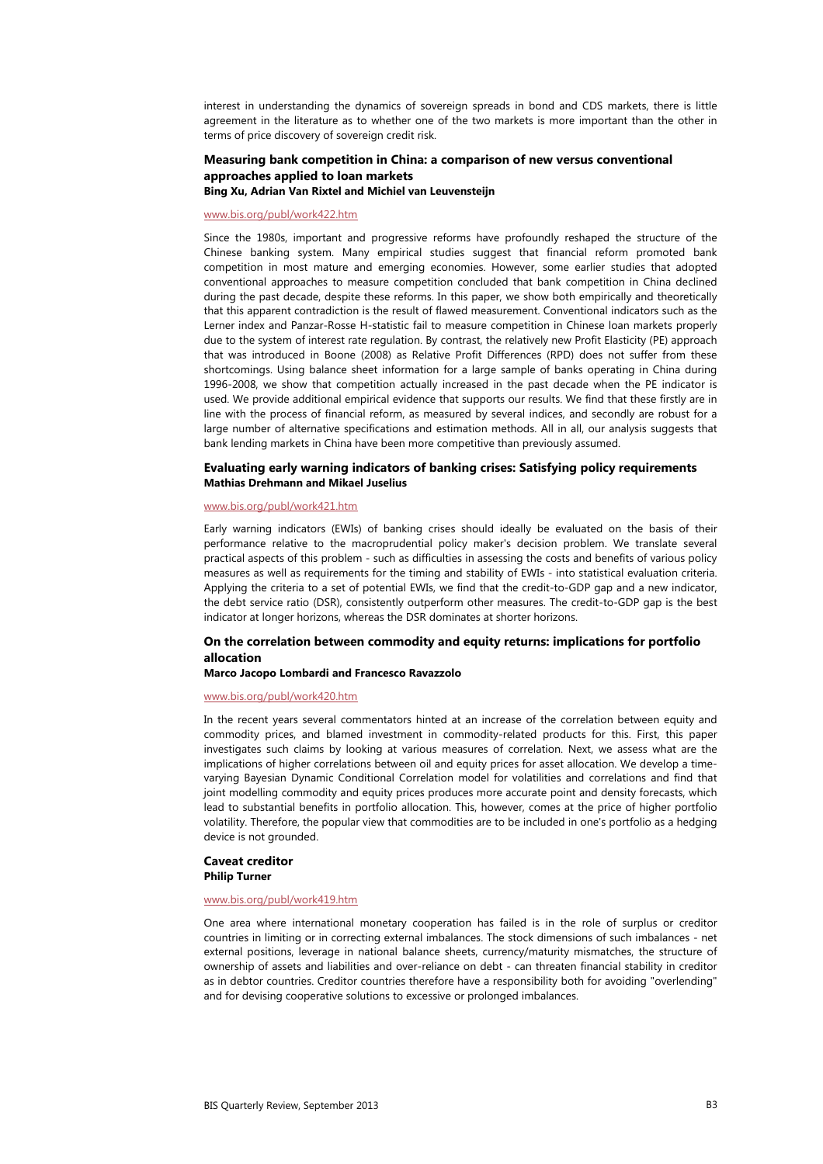interest in understanding the dynamics of sovereign spreads in bond and CDS markets, there is little agreement in the literature as to whether one of the two markets is more important than the other in terms of price discovery of sovereign credit risk.

### **Measuring bank competition in China: a comparison of new versus conventional approaches applied to loan markets Bing Xu, Adrian Van Rixtel and Michiel van Leuvensteijn**

### www.bis.org/publ/work422.htm

Since the 1980s, important and progressive reforms have profoundly reshaped the structure of the Chinese banking system. Many empirical studies suggest that financial reform promoted bank competition in most mature and emerging economies. However, some earlier studies that adopted conventional approaches to measure competition concluded that bank competition in China declined during the past decade, despite these reforms. In this paper, we show both empirically and theoretically that this apparent contradiction is the result of flawed measurement. Conventional indicators such as the Lerner index and Panzar-Rosse H-statistic fail to measure competition in Chinese loan markets properly due to the system of interest rate regulation. By contrast, the relatively new Profit Elasticity (PE) approach that was introduced in Boone (2008) as Relative Profit Differences (RPD) does not suffer from these shortcomings. Using balance sheet information for a large sample of banks operating in China during 1996-2008, we show that competition actually increased in the past decade when the PE indicator is used. We provide additional empirical evidence that supports our results. We find that these firstly are in line with the process of financial reform, as measured by several indices, and secondly are robust for a large number of alternative specifications and estimation methods. All in all, our analysis suggests that bank lending markets in China have been more competitive than previously assumed.

#### **Evaluating early warning indicators of banking crises: Satisfying policy requirements Mathias Drehmann and Mikael Juselius**

#### www.bis.org/publ/work421.htm

Early warning indicators (EWIs) of banking crises should ideally be evaluated on the basis of their performance relative to the macroprudential policy maker's decision problem. We translate several practical aspects of this problem - such as difficulties in assessing the costs and benefits of various policy measures as well as requirements for the timing and stability of EWIs - into statistical evaluation criteria. Applying the criteria to a set of potential EWIs, we find that the credit-to-GDP gap and a new indicator, the debt service ratio (DSR), consistently outperform other measures. The credit-to-GDP gap is the best indicator at longer horizons, whereas the DSR dominates at shorter horizons.

### **On the correlation between commodity and equity returns: implications for portfolio allocation**

### **Marco Jacopo Lombardi and Francesco Ravazzolo**

#### www.bis.org/publ/work420.htm

In the recent years several commentators hinted at an increase of the correlation between equity and commodity prices, and blamed investment in commodity-related products for this. First, this paper investigates such claims by looking at various measures of correlation. Next, we assess what are the implications of higher correlations between oil and equity prices for asset allocation. We develop a timevarying Bayesian Dynamic Conditional Correlation model for volatilities and correlations and find that joint modelling commodity and equity prices produces more accurate point and density forecasts, which lead to substantial benefits in portfolio allocation. This, however, comes at the price of higher portfolio volatility. Therefore, the popular view that commodities are to be included in one's portfolio as a hedging device is not grounded.

#### **Caveat creditor Philip Turner**

#### www.bis.org/publ/work419.htm

One area where international monetary cooperation has failed is in the role of surplus or creditor countries in limiting or in correcting external imbalances. The stock dimensions of such imbalances - net external positions, leverage in national balance sheets, currency/maturity mismatches, the structure of ownership of assets and liabilities and over-reliance on debt - can threaten financial stability in creditor as in debtor countries. Creditor countries therefore have a responsibility both for avoiding "overlending" and for devising cooperative solutions to excessive or prolonged imbalances.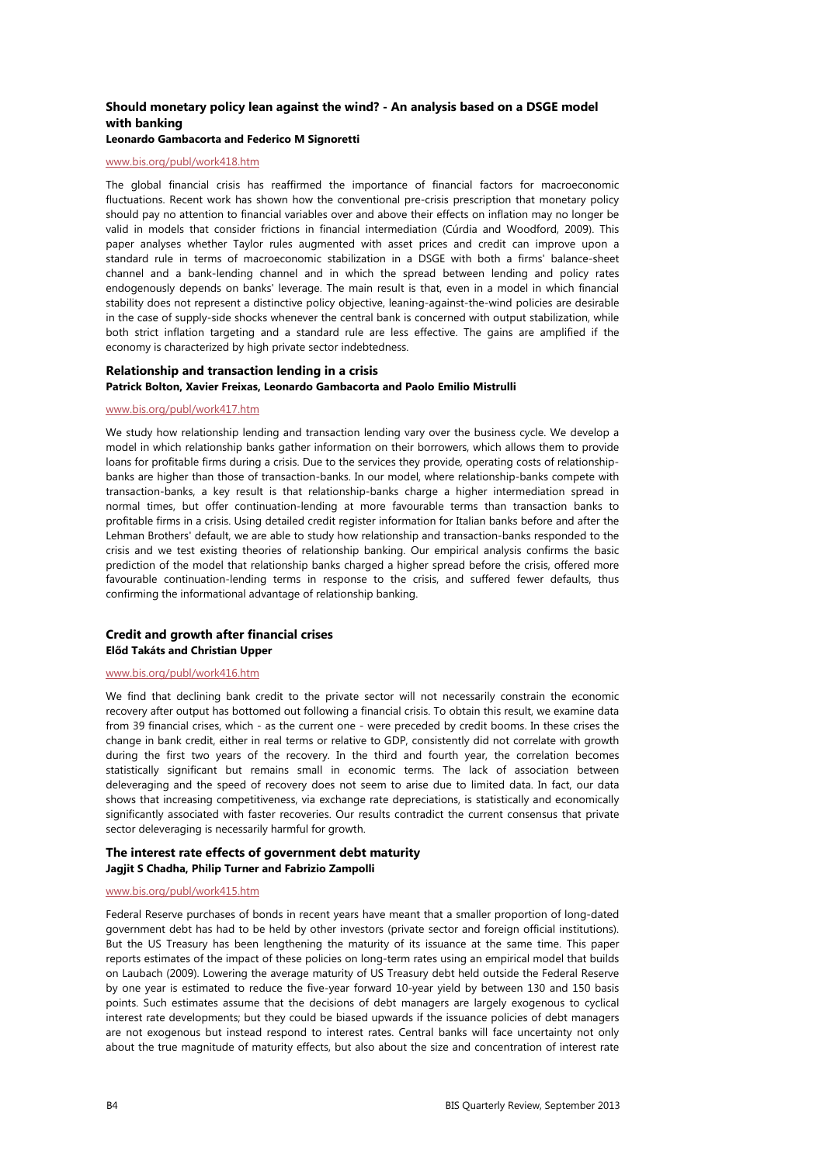## **Should monetary policy lean against the wind? - An analysis based on a DSGE model with banking**

## **Leonardo Gambacorta and Federico M Signoretti**

### www.bis.org/publ/work418.htm

The global financial crisis has reaffirmed the importance of financial factors for macroeconomic fluctuations. Recent work has shown how the conventional pre-crisis prescription that monetary policy should pay no attention to financial variables over and above their effects on inflation may no longer be valid in models that consider frictions in financial intermediation (Cúrdia and Woodford, 2009). This paper analyses whether Taylor rules augmented with asset prices and credit can improve upon a standard rule in terms of macroeconomic stabilization in a DSGE with both a firms' balance-sheet channel and a bank-lending channel and in which the spread between lending and policy rates endogenously depends on banks' leverage. The main result is that, even in a model in which financial stability does not represent a distinctive policy objective, leaning-against-the-wind policies are desirable in the case of supply-side shocks whenever the central bank is concerned with output stabilization, while both strict inflation targeting and a standard rule are less effective. The gains are amplified if the economy is characterized by high private sector indebtedness.

#### **Relationship and transaction lending in a crisis**

#### **Patrick Bolton, Xavier Freixas, Leonardo Gambacorta and Paolo Emilio Mistrulli**

#### www.bis.org/publ/work417.htm

We study how relationship lending and transaction lending vary over the business cycle. We develop a model in which relationship banks gather information on their borrowers, which allows them to provide loans for profitable firms during a crisis. Due to the services they provide, operating costs of relationshipbanks are higher than those of transaction-banks. In our model, where relationship-banks compete with transaction-banks, a key result is that relationship-banks charge a higher intermediation spread in normal times, but offer continuation-lending at more favourable terms than transaction banks to profitable firms in a crisis. Using detailed credit register information for Italian banks before and after the Lehman Brothers' default, we are able to study how relationship and transaction-banks responded to the crisis and we test existing theories of relationship banking. Our empirical analysis confirms the basic prediction of the model that relationship banks charged a higher spread before the crisis, offered more favourable continuation-lending terms in response to the crisis, and suffered fewer defaults, thus confirming the informational advantage of relationship banking.

#### **Credit and growth after financial crises Előd Takáts and Christian Upper**

#### www.bis.org/publ/work416.htm

We find that declining bank credit to the private sector will not necessarily constrain the economic recovery after output has bottomed out following a financial crisis. To obtain this result, we examine data from 39 financial crises, which - as the current one - were preceded by credit booms. In these crises the change in bank credit, either in real terms or relative to GDP, consistently did not correlate with growth during the first two years of the recovery. In the third and fourth year, the correlation becomes statistically significant but remains small in economic terms. The lack of association between deleveraging and the speed of recovery does not seem to arise due to limited data. In fact, our data shows that increasing competitiveness, via exchange rate depreciations, is statistically and economically significantly associated with faster recoveries. Our results contradict the current consensus that private sector deleveraging is necessarily harmful for growth.

#### **The interest rate effects of government debt maturity Jagjit S Chadha, Philip Turner and Fabrizio Zampolli**

#### www.bis.org/publ/work415.htm

Federal Reserve purchases of bonds in recent years have meant that a smaller proportion of long-dated government debt has had to be held by other investors (private sector and foreign official institutions). But the US Treasury has been lengthening the maturity of its issuance at the same time. This paper reports estimates of the impact of these policies on long-term rates using an empirical model that builds on Laubach (2009). Lowering the average maturity of US Treasury debt held outside the Federal Reserve by one year is estimated to reduce the five-year forward 10-year yield by between 130 and 150 basis points. Such estimates assume that the decisions of debt managers are largely exogenous to cyclical interest rate developments; but they could be biased upwards if the issuance policies of debt managers are not exogenous but instead respond to interest rates. Central banks will face uncertainty not only about the true magnitude of maturity effects, but also about the size and concentration of interest rate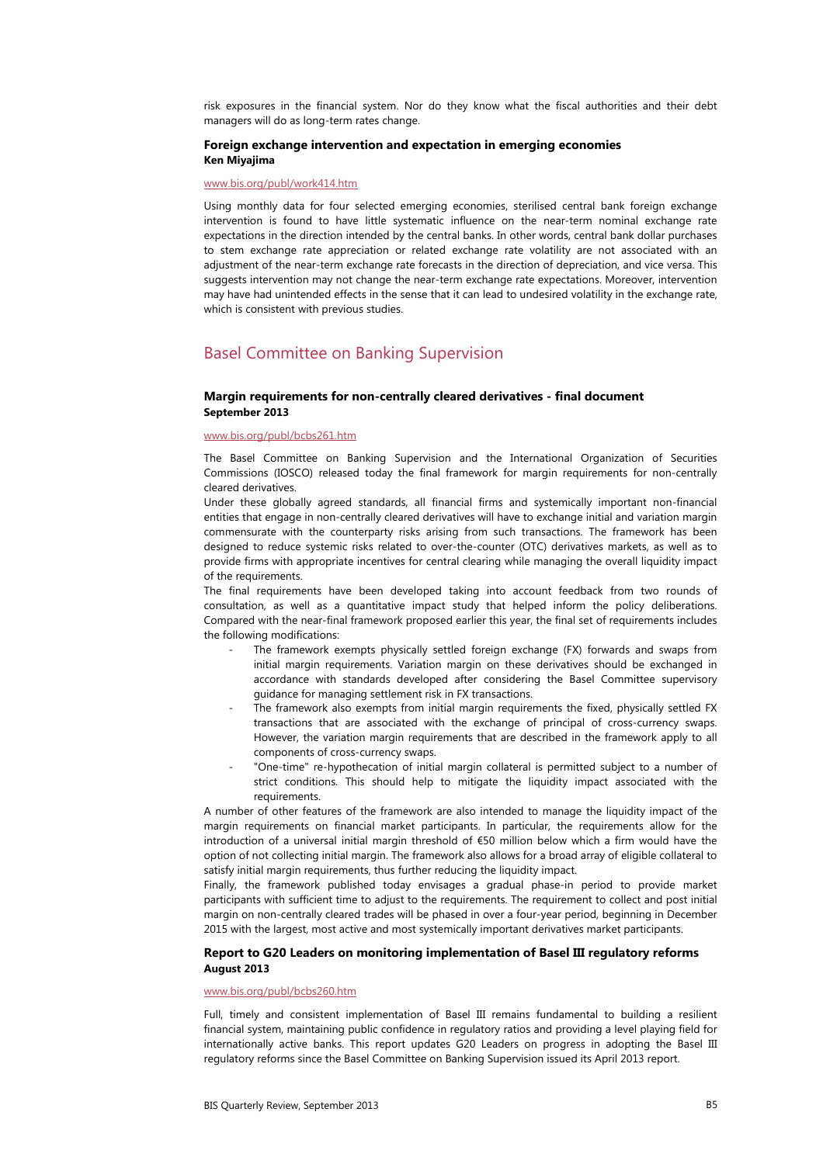risk exposures in the financial system. Nor do they know what the fiscal authorities and their debt managers will do as long-term rates change.

#### **Foreign exchange intervention and expectation in emerging economies Ken Miyajima**

#### www.bis.org/publ/work414.htm

Using monthly data for four selected emerging economies, sterilised central bank foreign exchange intervention is found to have little systematic influence on the near-term nominal exchange rate expectations in the direction intended by the central banks. In other words, central bank dollar purchases to stem exchange rate appreciation or related exchange rate volatility are not associated with an adjustment of the near-term exchange rate forecasts in the direction of depreciation, and vice versa. This suggests intervention may not change the near-term exchange rate expectations. Moreover, intervention may have had unintended effects in the sense that it can lead to undesired volatility in the exchange rate, which is consistent with previous studies.

## Basel Committee on Banking Supervision

#### **Margin requirements for non-centrally cleared derivatives - final document September 2013**

#### www.bis.org/publ/bcbs261.htm

The Basel Committee on Banking Supervision and the International Organization of Securities Commissions (IOSCO) released today the final framework for margin requirements for non-centrally cleared derivatives.

Under these globally agreed standards, all financial firms and systemically important non-financial entities that engage in non-centrally cleared derivatives will have to exchange initial and variation margin commensurate with the counterparty risks arising from such transactions. The framework has been designed to reduce systemic risks related to over-the-counter (OTC) derivatives markets, as well as to provide firms with appropriate incentives for central clearing while managing the overall liquidity impact of the requirements.

The final requirements have been developed taking into account feedback from two rounds of consultation, as well as a quantitative impact study that helped inform the policy deliberations. Compared with the near-final framework proposed earlier this year, the final set of requirements includes the following modifications:

- The framework exempts physically settled foreign exchange (FX) forwards and swaps from initial margin requirements. Variation margin on these derivatives should be exchanged in accordance with standards developed after considering the Basel Committee supervisory guidance for managing settlement risk in FX transactions.
- The framework also exempts from initial margin requirements the fixed, physically settled FX transactions that are associated with the exchange of principal of cross-currency swaps. However, the variation margin requirements that are described in the framework apply to all components of cross-currency swaps.
- "One-time" re-hypothecation of initial margin collateral is permitted subject to a number of strict conditions. This should help to mitigate the liquidity impact associated with the requirements.

A number of other features of the framework are also intended to manage the liquidity impact of the margin requirements on financial market participants. In particular, the requirements allow for the introduction of a universal initial margin threshold of €50 million below which a firm would have the option of not collecting initial margin. The framework also allows for a broad array of eligible collateral to satisfy initial margin requirements, thus further reducing the liquidity impact.

Finally, the framework published today envisages a gradual phase-in period to provide market participants with sufficient time to adjust to the requirements. The requirement to collect and post initial margin on non-centrally cleared trades will be phased in over a four-year period, beginning in December 2015 with the largest, most active and most systemically important derivatives market participants.

#### **Report to G20 Leaders on monitoring implementation of Basel III regulatory reforms August 2013**

#### www.bis.org/publ/bcbs260.htm

Full, timely and consistent implementation of Basel III remains fundamental to building a resilient financial system, maintaining public confidence in regulatory ratios and providing a level playing field for internationally active banks. This report updates G20 Leaders on progress in adopting the Basel III regulatory reforms since the Basel Committee on Banking Supervision issued its April 2013 report.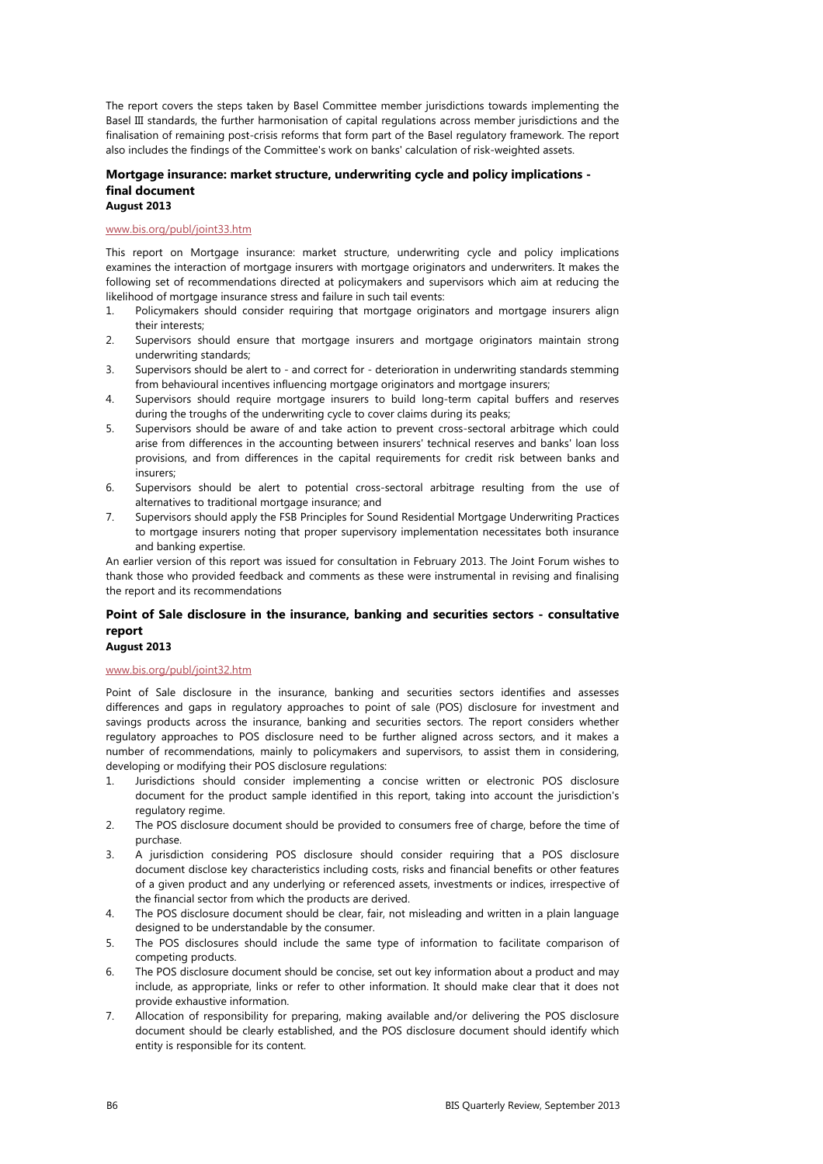The report covers the steps taken by Basel Committee member jurisdictions towards implementing the Basel III standards, the further harmonisation of capital regulations across member jurisdictions and the finalisation of remaining post-crisis reforms that form part of the Basel regulatory framework. The report also includes the findings of the Committee's work on banks' calculation of risk-weighted assets.

### **Mortgage insurance: market structure, underwriting cycle and policy implications final document August 2013**

### www.bis.org/publ/joint33.htm

This report on Mortgage insurance: market structure, underwriting cycle and policy implications examines the interaction of mortgage insurers with mortgage originators and underwriters. It makes the following set of recommendations directed at policymakers and supervisors which aim at reducing the likelihood of mortgage insurance stress and failure in such tail events:

- 1. Policymakers should consider requiring that mortgage originators and mortgage insurers align their interests;
- 2. Supervisors should ensure that mortgage insurers and mortgage originators maintain strong underwriting standards;
- 3. Supervisors should be alert to and correct for deterioration in underwriting standards stemming from behavioural incentives influencing mortgage originators and mortgage insurers;
- 4. Supervisors should require mortgage insurers to build long-term capital buffers and reserves during the troughs of the underwriting cycle to cover claims during its peaks;
- 5. Supervisors should be aware of and take action to prevent cross-sectoral arbitrage which could arise from differences in the accounting between insurers' technical reserves and banks' loan loss provisions, and from differences in the capital requirements for credit risk between banks and insurers;
- 6. Supervisors should be alert to potential cross-sectoral arbitrage resulting from the use of alternatives to traditional mortgage insurance; and
- 7. Supervisors should apply the FSB Principles for Sound Residential Mortgage Underwriting Practices to mortgage insurers noting that proper supervisory implementation necessitates both insurance and banking expertise.

An earlier version of this report was issued for consultation in February 2013. The Joint Forum wishes to thank those who provided feedback and comments as these were instrumental in revising and finalising the report and its recommendations

## **Point of Sale disclosure in the insurance, banking and securities sectors - consultative report**

## **August 2013**

#### www.bis.org/publ/joint32.htm

Point of Sale disclosure in the insurance, banking and securities sectors identifies and assesses differences and gaps in regulatory approaches to point of sale (POS) disclosure for investment and savings products across the insurance, banking and securities sectors. The report considers whether regulatory approaches to POS disclosure need to be further aligned across sectors, and it makes a number of recommendations, mainly to policymakers and supervisors, to assist them in considering, developing or modifying their POS disclosure regulations:

- 1. Jurisdictions should consider implementing a concise written or electronic POS disclosure document for the product sample identified in this report, taking into account the jurisdiction's regulatory regime.
- 2. The POS disclosure document should be provided to consumers free of charge, before the time of purchase.
- 3. A jurisdiction considering POS disclosure should consider requiring that a POS disclosure document disclose key characteristics including costs, risks and financial benefits or other features of a given product and any underlying or referenced assets, investments or indices, irrespective of the financial sector from which the products are derived.
- 4. The POS disclosure document should be clear, fair, not misleading and written in a plain language designed to be understandable by the consumer.
- 5. The POS disclosures should include the same type of information to facilitate comparison of competing products.
- 6. The POS disclosure document should be concise, set out key information about a product and may include, as appropriate, links or refer to other information. It should make clear that it does not provide exhaustive information.
- 7. Allocation of responsibility for preparing, making available and/or delivering the POS disclosure document should be clearly established, and the POS disclosure document should identify which entity is responsible for its content.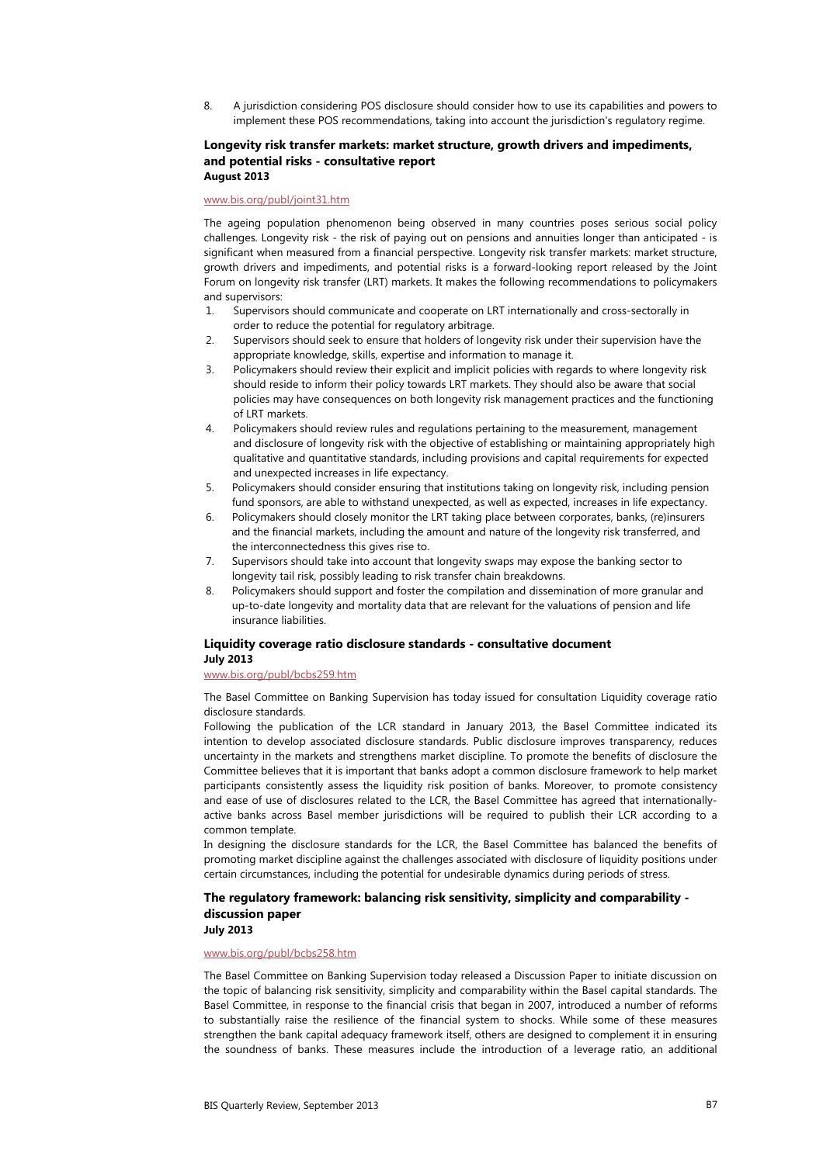8. A jurisdiction considering POS disclosure should consider how to use its capabilities and powers to implement these POS recommendations, taking into account the jurisdiction's regulatory regime.

#### **Longevity risk transfer markets: market structure, growth drivers and impediments, and potential risks - consultative report August 2013**

#### www.bis.org/publ/joint31.htm

The ageing population phenomenon being observed in many countries poses serious social policy challenges. Longevity risk - the risk of paying out on pensions and annuities longer than anticipated - is significant when measured from a financial perspective. Longevity risk transfer markets: market structure, growth drivers and impediments, and potential risks is a forward-looking report released by the Joint Forum on longevity risk transfer (LRT) markets. It makes the following recommendations to policymakers and supervisors:

- 1. Supervisors should communicate and cooperate on LRT internationally and cross-sectorally in order to reduce the potential for regulatory arbitrage.
- 2. Supervisors should seek to ensure that holders of longevity risk under their supervision have the appropriate knowledge, skills, expertise and information to manage it.
- 3. Policymakers should review their explicit and implicit policies with regards to where longevity risk should reside to inform their policy towards LRT markets. They should also be aware that social policies may have consequences on both longevity risk management practices and the functioning of LRT markets.
- 4. Policymakers should review rules and regulations pertaining to the measurement, management and disclosure of longevity risk with the objective of establishing or maintaining appropriately high qualitative and quantitative standards, including provisions and capital requirements for expected and unexpected increases in life expectancy.
- 5. Policymakers should consider ensuring that institutions taking on longevity risk, including pension fund sponsors, are able to withstand unexpected, as well as expected, increases in life expectancy.
- 6. Policymakers should closely monitor the LRT taking place between corporates, banks, (re)insurers and the financial markets, including the amount and nature of the longevity risk transferred, and the interconnectedness this gives rise to.
- 7. Supervisors should take into account that longevity swaps may expose the banking sector to longevity tail risk, possibly leading to risk transfer chain breakdowns.
- 8. Policymakers should support and foster the compilation and dissemination of more granular and up-to-date longevity and mortality data that are relevant for the valuations of pension and life insurance liabilities.

### **Liquidity coverage ratio disclosure standards - consultative document July 2013**

### www.bis.org/publ/bcbs259.htm

The Basel Committee on Banking Supervision has today issued for consultation Liquidity coverage ratio disclosure standards.

Following the publication of the LCR standard in January 2013, the Basel Committee indicated its intention to develop associated disclosure standards. Public disclosure improves transparency, reduces uncertainty in the markets and strengthens market discipline. To promote the benefits of disclosure the Committee believes that it is important that banks adopt a common disclosure framework to help market participants consistently assess the liquidity risk position of banks. Moreover, to promote consistency and ease of use of disclosures related to the LCR, the Basel Committee has agreed that internationallyactive banks across Basel member jurisdictions will be required to publish their LCR according to a common template.

In designing the disclosure standards for the LCR, the Basel Committee has balanced the benefits of promoting market discipline against the challenges associated with disclosure of liquidity positions under certain circumstances, including the potential for undesirable dynamics during periods of stress.

## **The regulatory framework: balancing risk sensitivity, simplicity and comparability discussion paper**

**July 2013** 

### www.bis.org/publ/bcbs258.htm

The Basel Committee on Banking Supervision today released a Discussion Paper to initiate discussion on the topic of balancing risk sensitivity, simplicity and comparability within the Basel capital standards. The Basel Committee, in response to the financial crisis that began in 2007, introduced a number of reforms to substantially raise the resilience of the financial system to shocks. While some of these measures strengthen the bank capital adequacy framework itself, others are designed to complement it in ensuring the soundness of banks. These measures include the introduction of a leverage ratio, an additional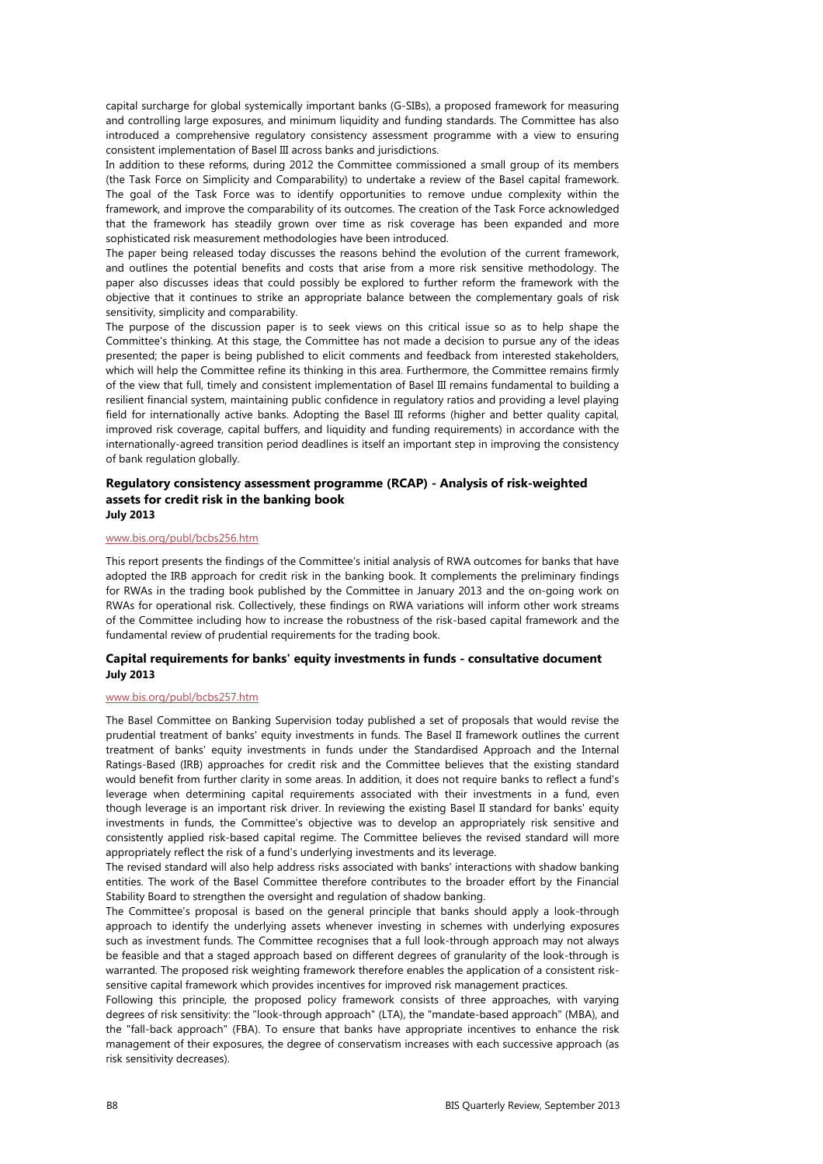capital surcharge for global systemically important banks (G-SIBs), a proposed framework for measuring and controlling large exposures, and minimum liquidity and funding standards. The Committee has also introduced a comprehensive regulatory consistency assessment programme with a view to ensuring consistent implementation of Basel III across banks and jurisdictions.

In addition to these reforms, during 2012 the Committee commissioned a small group of its members (the Task Force on Simplicity and Comparability) to undertake a review of the Basel capital framework. The goal of the Task Force was to identify opportunities to remove undue complexity within the framework, and improve the comparability of its outcomes. The creation of the Task Force acknowledged that the framework has steadily grown over time as risk coverage has been expanded and more sophisticated risk measurement methodologies have been introduced.

The paper being released today discusses the reasons behind the evolution of the current framework, and outlines the potential benefits and costs that arise from a more risk sensitive methodology. The paper also discusses ideas that could possibly be explored to further reform the framework with the objective that it continues to strike an appropriate balance between the complementary goals of risk sensitivity, simplicity and comparability.

The purpose of the discussion paper is to seek views on this critical issue so as to help shape the Committee's thinking. At this stage, the Committee has not made a decision to pursue any of the ideas presented; the paper is being published to elicit comments and feedback from interested stakeholders, which will help the Committee refine its thinking in this area. Furthermore, the Committee remains firmly of the view that full, timely and consistent implementation of Basel III remains fundamental to building a resilient financial system, maintaining public confidence in regulatory ratios and providing a level playing field for internationally active banks. Adopting the Basel III reforms (higher and better quality capital, improved risk coverage, capital buffers, and liquidity and funding requirements) in accordance with the internationally-agreed transition period deadlines is itself an important step in improving the consistency of bank regulation globally.

#### **Regulatory consistency assessment programme (RCAP) - Analysis of risk-weighted assets for credit risk in the banking book July 2013**

#### www.bis.org/publ/bcbs256.htm

This report presents the findings of the Committee's initial analysis of RWA outcomes for banks that have adopted the IRB approach for credit risk in the banking book. It complements the preliminary findings for RWAs in the trading book published by the Committee in January 2013 and the on-going work on RWAs for operational risk. Collectively, these findings on RWA variations will inform other work streams of the Committee including how to increase the robustness of the risk-based capital framework and the fundamental review of prudential requirements for the trading book.

#### **Capital requirements for banks' equity investments in funds - consultative document July 2013**

#### www.bis.org/publ/bcbs257.htm

The Basel Committee on Banking Supervision today published a set of proposals that would revise the prudential treatment of banks' equity investments in funds. The Basel II framework outlines the current treatment of banks' equity investments in funds under the Standardised Approach and the Internal Ratings-Based (IRB) approaches for credit risk and the Committee believes that the existing standard would benefit from further clarity in some areas. In addition, it does not require banks to reflect a fund's leverage when determining capital requirements associated with their investments in a fund, even though leverage is an important risk driver. In reviewing the existing Basel II standard for banks' equity investments in funds, the Committee's objective was to develop an appropriately risk sensitive and consistently applied risk-based capital regime. The Committee believes the revised standard will more appropriately reflect the risk of a fund's underlying investments and its leverage.

The revised standard will also help address risks associated with banks' interactions with shadow banking entities. The work of the Basel Committee therefore contributes to the broader effort by the Financial Stability Board to strengthen the oversight and regulation of shadow banking.

The Committee's proposal is based on the general principle that banks should apply a look-through approach to identify the underlying assets whenever investing in schemes with underlying exposures such as investment funds. The Committee recognises that a full look-through approach may not always be feasible and that a staged approach based on different degrees of granularity of the look-through is warranted. The proposed risk weighting framework therefore enables the application of a consistent risksensitive capital framework which provides incentives for improved risk management practices.

Following this principle, the proposed policy framework consists of three approaches, with varying degrees of risk sensitivity: the "look-through approach" (LTA), the "mandate-based approach" (MBA), and the "fall-back approach" (FBA). To ensure that banks have appropriate incentives to enhance the risk management of their exposures, the degree of conservatism increases with each successive approach (as risk sensitivity decreases).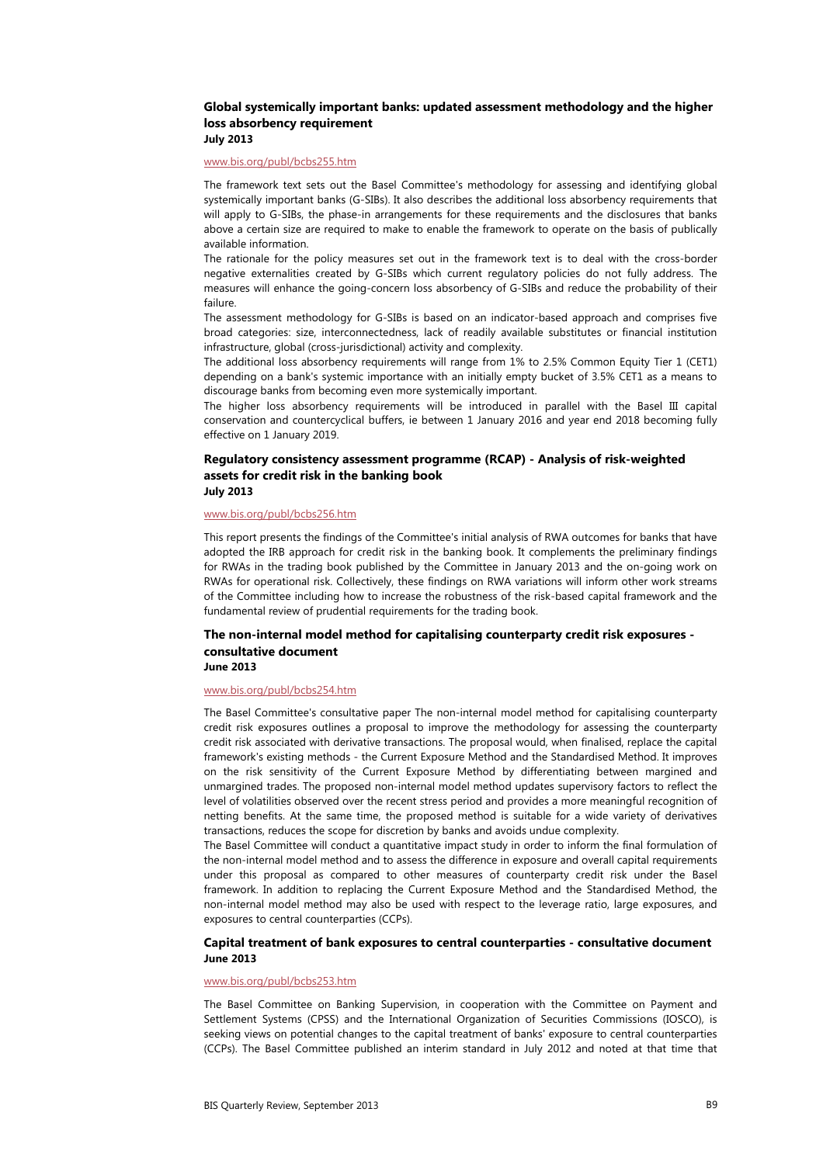#### **Global systemically important banks: updated assessment methodology and the higher loss absorbency requirement July 2013**

#### www.bis.org/publ/bcbs255.htm

The framework text sets out the Basel Committee's methodology for assessing and identifying global systemically important banks (G-SIBs). It also describes the additional loss absorbency requirements that will apply to G-SIBs, the phase-in arrangements for these requirements and the disclosures that banks above a certain size are required to make to enable the framework to operate on the basis of publically available information.

The rationale for the policy measures set out in the framework text is to deal with the cross-border negative externalities created by G-SIBs which current regulatory policies do not fully address. The measures will enhance the going-concern loss absorbency of G-SIBs and reduce the probability of their failure.

The assessment methodology for G-SIBs is based on an indicator-based approach and comprises five broad categories: size, interconnectedness, lack of readily available substitutes or financial institution infrastructure, global (cross-jurisdictional) activity and complexity.

The additional loss absorbency requirements will range from 1% to 2.5% Common Equity Tier 1 (CET1) depending on a bank's systemic importance with an initially empty bucket of 3.5% CET1 as a means to discourage banks from becoming even more systemically important.

The higher loss absorbency requirements will be introduced in parallel with the Basel III capital conservation and countercyclical buffers, ie between 1 January 2016 and year end 2018 becoming fully effective on 1 January 2019.

### **Regulatory consistency assessment programme (RCAP) - Analysis of risk-weighted assets for credit risk in the banking book July 2013**

#### www.bis.org/publ/bcbs256.htm

This report presents the findings of the Committee's initial analysis of RWA outcomes for banks that have adopted the IRB approach for credit risk in the banking book. It complements the preliminary findings for RWAs in the trading book published by the Committee in January 2013 and the on-going work on RWAs for operational risk. Collectively, these findings on RWA variations will inform other work streams of the Committee including how to increase the robustness of the risk-based capital framework and the fundamental review of prudential requirements for the trading book.

#### **The non-internal model method for capitalising counterparty credit risk exposures consultative document June 2013**

#### www.bis.org/publ/bcbs254.htm

The Basel Committee's consultative paper The non-internal model method for capitalising counterparty credit risk exposures outlines a proposal to improve the methodology for assessing the counterparty credit risk associated with derivative transactions. The proposal would, when finalised, replace the capital framework's existing methods - the Current Exposure Method and the Standardised Method. It improves on the risk sensitivity of the Current Exposure Method by differentiating between margined and unmargined trades. The proposed non-internal model method updates supervisory factors to reflect the level of volatilities observed over the recent stress period and provides a more meaningful recognition of netting benefits. At the same time, the proposed method is suitable for a wide variety of derivatives transactions, reduces the scope for discretion by banks and avoids undue complexity.

The Basel Committee will conduct a quantitative impact study in order to inform the final formulation of the non-internal model method and to assess the difference in exposure and overall capital requirements under this proposal as compared to other measures of counterparty credit risk under the Basel framework. In addition to replacing the Current Exposure Method and the Standardised Method, the non-internal model method may also be used with respect to the leverage ratio, large exposures, and exposures to central counterparties (CCPs).

#### **Capital treatment of bank exposures to central counterparties - consultative document June 2013**

#### www.bis.org/publ/bcbs253.htm

The Basel Committee on Banking Supervision, in cooperation with the Committee on Payment and Settlement Systems (CPSS) and the International Organization of Securities Commissions (IOSCO), is seeking views on potential changes to the capital treatment of banks' exposure to central counterparties (CCPs). The Basel Committee published an interim standard in July 2012 and noted at that time that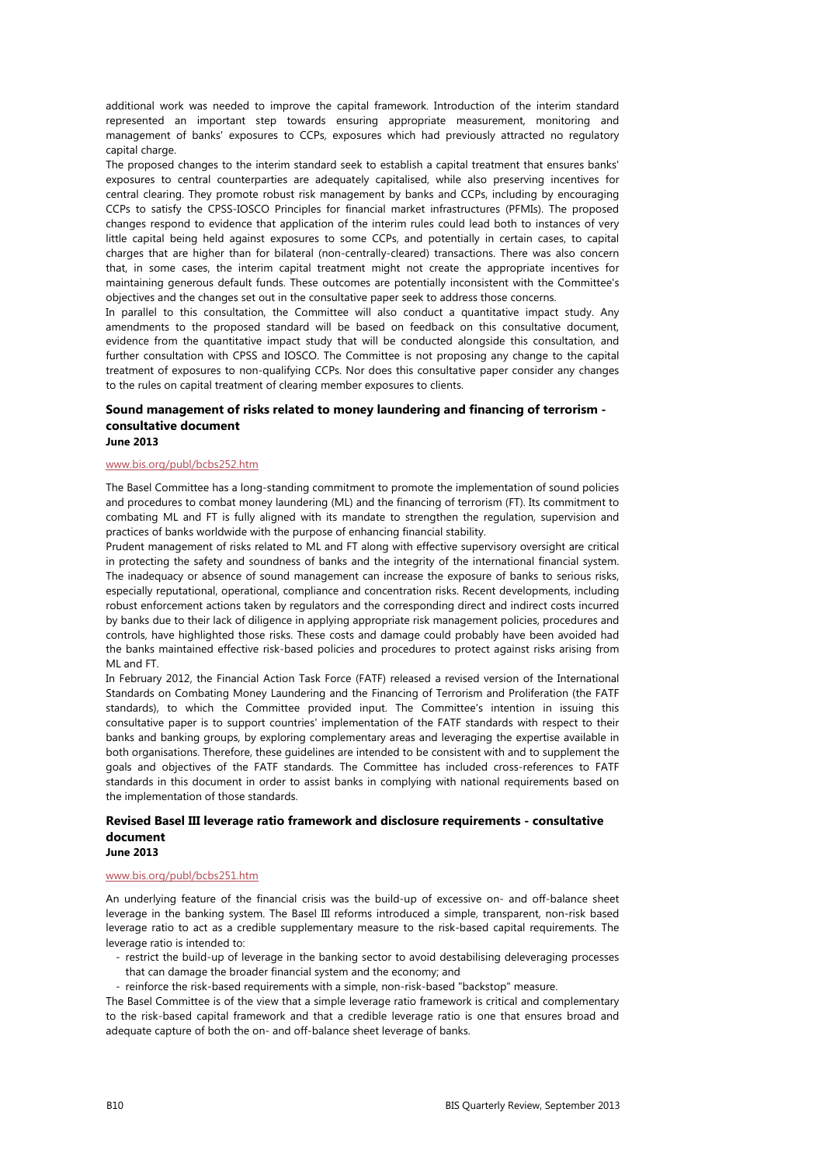additional work was needed to improve the capital framework. Introduction of the interim standard represented an important step towards ensuring appropriate measurement, monitoring and management of banks' exposures to CCPs, exposures which had previously attracted no regulatory capital charge.

The proposed changes to the interim standard seek to establish a capital treatment that ensures banks' exposures to central counterparties are adequately capitalised, while also preserving incentives for central clearing. They promote robust risk management by banks and CCPs, including by encouraging CCPs to satisfy the CPSS-IOSCO Principles for financial market infrastructures (PFMIs). The proposed changes respond to evidence that application of the interim rules could lead both to instances of very little capital being held against exposures to some CCPs, and potentially in certain cases, to capital charges that are higher than for bilateral (non-centrally-cleared) transactions. There was also concern that, in some cases, the interim capital treatment might not create the appropriate incentives for maintaining generous default funds. These outcomes are potentially inconsistent with the Committee's objectives and the changes set out in the consultative paper seek to address those concerns.

In parallel to this consultation, the Committee will also conduct a quantitative impact study. Any amendments to the proposed standard will be based on feedback on this consultative document, evidence from the quantitative impact study that will be conducted alongside this consultation, and further consultation with CPSS and IOSCO. The Committee is not proposing any change to the capital treatment of exposures to non-qualifying CCPs. Nor does this consultative paper consider any changes to the rules on capital treatment of clearing member exposures to clients.

## **Sound management of risks related to money laundering and financing of terrorism consultative document**

#### **June 2013**

#### www.bis.org/publ/bcbs252.htm

The Basel Committee has a long-standing commitment to promote the implementation of sound policies and procedures to combat money laundering (ML) and the financing of terrorism (FT). Its commitment to combating ML and FT is fully aligned with its mandate to strengthen the regulation, supervision and practices of banks worldwide with the purpose of enhancing financial stability.

Prudent management of risks related to ML and FT along with effective supervisory oversight are critical in protecting the safety and soundness of banks and the integrity of the international financial system. The inadequacy or absence of sound management can increase the exposure of banks to serious risks, especially reputational, operational, compliance and concentration risks. Recent developments, including robust enforcement actions taken by regulators and the corresponding direct and indirect costs incurred by banks due to their lack of diligence in applying appropriate risk management policies, procedures and controls, have highlighted those risks. These costs and damage could probably have been avoided had the banks maintained effective risk-based policies and procedures to protect against risks arising from ML and FT.

In February 2012, the Financial Action Task Force (FATF) released a revised version of the International Standards on Combating Money Laundering and the Financing of Terrorism and Proliferation (the FATF standards), to which the Committee provided input. The Committee's intention in issuing this consultative paper is to support countries' implementation of the FATF standards with respect to their banks and banking groups, by exploring complementary areas and leveraging the expertise available in both organisations. Therefore, these guidelines are intended to be consistent with and to supplement the goals and objectives of the FATF standards. The Committee has included cross-references to FATF standards in this document in order to assist banks in complying with national requirements based on the implementation of those standards.

#### **Revised Basel III leverage ratio framework and disclosure requirements - consultative document June 2013**

#### www.bis.org/publ/bcbs251.htm

An underlying feature of the financial crisis was the build-up of excessive on- and off-balance sheet leverage in the banking system. The Basel III reforms introduced a simple, transparent, non-risk based leverage ratio to act as a credible supplementary measure to the risk-based capital requirements. The leverage ratio is intended to:

- restrict the build-up of leverage in the banking sector to avoid destabilising deleveraging processes that can damage the broader financial system and the economy; and
- reinforce the risk-based requirements with a simple, non-risk-based "backstop" measure.

The Basel Committee is of the view that a simple leverage ratio framework is critical and complementary to the risk-based capital framework and that a credible leverage ratio is one that ensures broad and adequate capture of both the on- and off-balance sheet leverage of banks.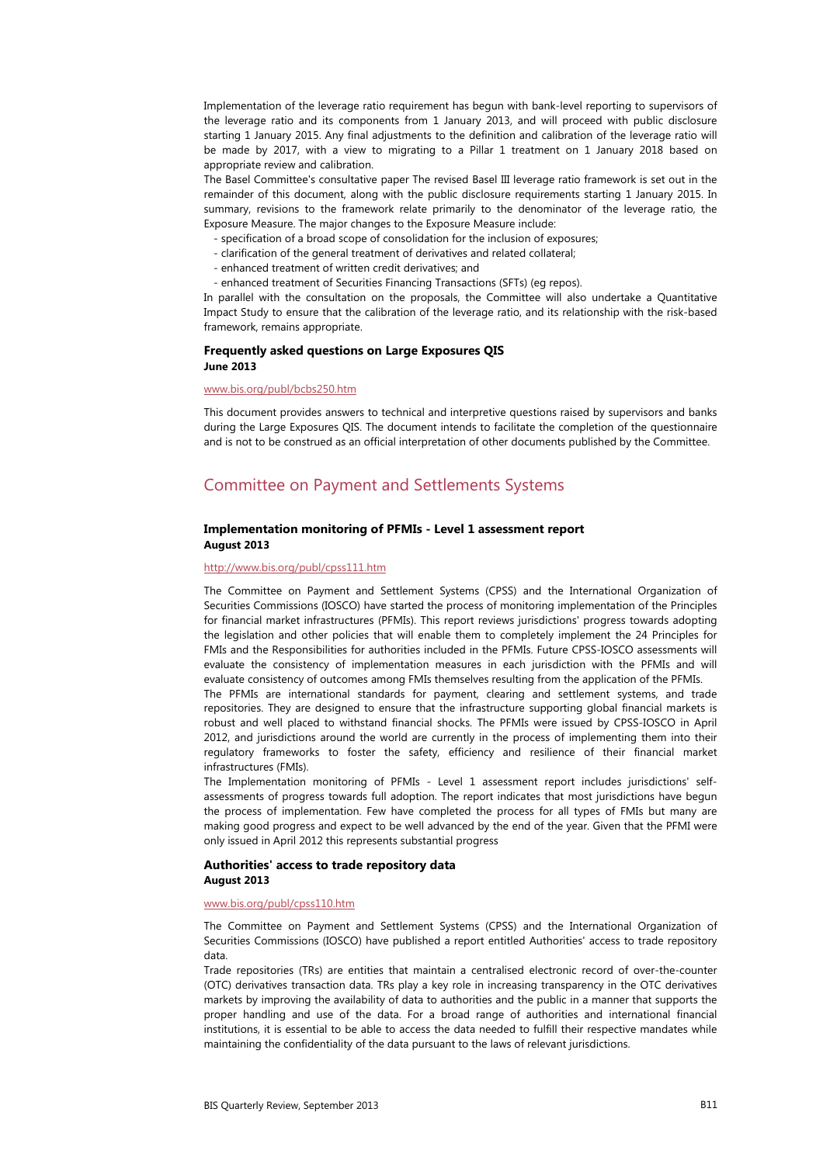Implementation of the leverage ratio requirement has begun with bank-level reporting to supervisors of the leverage ratio and its components from 1 January 2013, and will proceed with public disclosure starting 1 January 2015. Any final adjustments to the definition and calibration of the leverage ratio will be made by 2017, with a view to migrating to a Pillar 1 treatment on 1 January 2018 based on appropriate review and calibration.

The Basel Committee's consultative paper The revised Basel III leverage ratio framework is set out in the remainder of this document, along with the public disclosure requirements starting 1 January 2015. In summary, revisions to the framework relate primarily to the denominator of the leverage ratio, the Exposure Measure. The major changes to the Exposure Measure include:

- specification of a broad scope of consolidation for the inclusion of exposures;
- clarification of the general treatment of derivatives and related collateral;
- enhanced treatment of written credit derivatives; and
- enhanced treatment of Securities Financing Transactions (SFTs) (eg repos).

In parallel with the consultation on the proposals, the Committee will also undertake a Quantitative Impact Study to ensure that the calibration of the leverage ratio, and its relationship with the risk-based framework, remains appropriate.

#### **Frequently asked questions on Large Exposures QIS June 2013**

#### www.bis.org/publ/bcbs250.htm

This document provides answers to technical and interpretive questions raised by supervisors and banks during the Large Exposures QIS. The document intends to facilitate the completion of the questionnaire and is not to be construed as an official interpretation of other documents published by the Committee.

## Committee on Payment and Settlements Systems

#### **Implementation monitoring of PFMIs - Level 1 assessment report August 2013**

#### http://www.bis.org/publ/cpss111.htm

The Committee on Payment and Settlement Systems (CPSS) and the International Organization of Securities Commissions (IOSCO) have started the process of monitoring implementation of the Principles for financial market infrastructures (PFMIs). This report reviews jurisdictions' progress towards adopting the legislation and other policies that will enable them to completely implement the 24 Principles for FMIs and the Responsibilities for authorities included in the PFMIs. Future CPSS-IOSCO assessments will evaluate the consistency of implementation measures in each jurisdiction with the PFMIs and will evaluate consistency of outcomes among FMIs themselves resulting from the application of the PFMIs.

The PFMIs are international standards for payment, clearing and settlement systems, and trade repositories. They are designed to ensure that the infrastructure supporting global financial markets is robust and well placed to withstand financial shocks. The PFMIs were issued by CPSS-IOSCO in April 2012, and jurisdictions around the world are currently in the process of implementing them into their regulatory frameworks to foster the safety, efficiency and resilience of their financial market infrastructures (FMIs).

The Implementation monitoring of PFMIs - Level 1 assessment report includes jurisdictions' selfassessments of progress towards full adoption. The report indicates that most jurisdictions have begun the process of implementation. Few have completed the process for all types of FMIs but many are making good progress and expect to be well advanced by the end of the year. Given that the PFMI were only issued in April 2012 this represents substantial progress

#### **Authorities' access to trade repository data August 2013**

#### www.bis.org/publ/cpss110.htm

The Committee on Payment and Settlement Systems (CPSS) and the International Organization of Securities Commissions (IOSCO) have published a report entitled Authorities' access to trade repository data.

Trade repositories (TRs) are entities that maintain a centralised electronic record of over-the-counter (OTC) derivatives transaction data. TRs play a key role in increasing transparency in the OTC derivatives markets by improving the availability of data to authorities and the public in a manner that supports the proper handling and use of the data. For a broad range of authorities and international financial institutions, it is essential to be able to access the data needed to fulfill their respective mandates while maintaining the confidentiality of the data pursuant to the laws of relevant jurisdictions.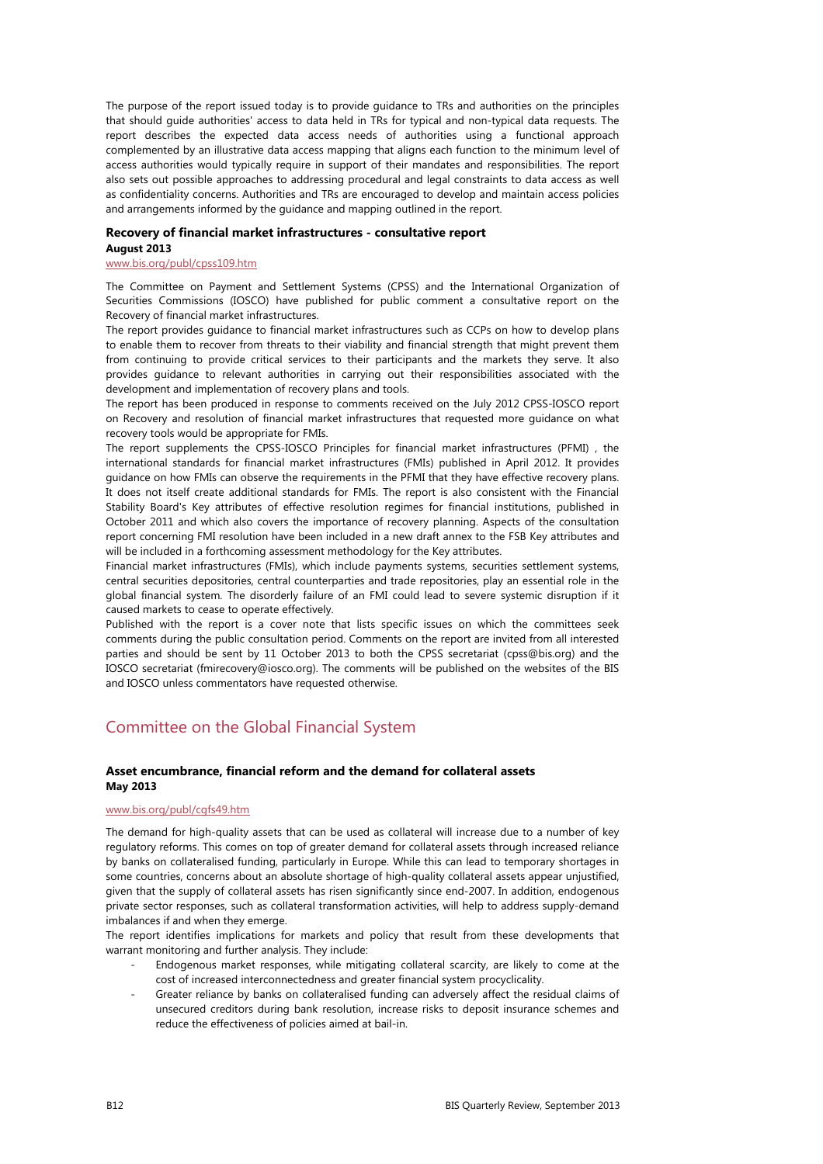The purpose of the report issued today is to provide guidance to TRs and authorities on the principles that should guide authorities' access to data held in TRs for typical and non-typical data requests. The report describes the expected data access needs of authorities using a functional approach complemented by an illustrative data access mapping that aligns each function to the minimum level of access authorities would typically require in support of their mandates and responsibilities. The report also sets out possible approaches to addressing procedural and legal constraints to data access as well as confidentiality concerns. Authorities and TRs are encouraged to develop and maintain access policies and arrangements informed by the guidance and mapping outlined in the report.

#### **Recovery of financial market infrastructures - consultative report August 2013**

www.bis.org/publ/cpss109.htm

The Committee on Payment and Settlement Systems (CPSS) and the International Organization of Securities Commissions (IOSCO) have published for public comment a consultative report on the Recovery of financial market infrastructures.

The report provides guidance to financial market infrastructures such as CCPs on how to develop plans to enable them to recover from threats to their viability and financial strength that might prevent them from continuing to provide critical services to their participants and the markets they serve. It also provides guidance to relevant authorities in carrying out their responsibilities associated with the development and implementation of recovery plans and tools.

The report has been produced in response to comments received on the July 2012 CPSS-IOSCO report on Recovery and resolution of financial market infrastructures that requested more guidance on what recovery tools would be appropriate for FMIs.

The report supplements the CPSS-IOSCO Principles for financial market infrastructures (PFMI) , the international standards for financial market infrastructures (FMIs) published in April 2012. It provides guidance on how FMIs can observe the requirements in the PFMI that they have effective recovery plans. It does not itself create additional standards for FMIs. The report is also consistent with the Financial Stability Board's Key attributes of effective resolution regimes for financial institutions, published in October 2011 and which also covers the importance of recovery planning. Aspects of the consultation report concerning FMI resolution have been included in a new draft annex to the FSB Key attributes and will be included in a forthcoming assessment methodology for the Key attributes.

Financial market infrastructures (FMIs), which include payments systems, securities settlement systems, central securities depositories, central counterparties and trade repositories, play an essential role in the global financial system. The disorderly failure of an FMI could lead to severe systemic disruption if it caused markets to cease to operate effectively.

Published with the report is a cover note that lists specific issues on which the committees seek comments during the public consultation period. Comments on the report are invited from all interested parties and should be sent by 11 October 2013 to both the CPSS secretariat (cpss@bis.org) and the IOSCO secretariat (fmirecovery@iosco.org). The comments will be published on the websites of the BIS and IOSCO unless commentators have requested otherwise.

## Committee on the Global Financial System

#### **Asset encumbrance, financial reform and the demand for collateral assets May 2013**

#### www.bis.org/publ/cgfs49.htm

The demand for high-quality assets that can be used as collateral will increase due to a number of key regulatory reforms. This comes on top of greater demand for collateral assets through increased reliance by banks on collateralised funding, particularly in Europe. While this can lead to temporary shortages in some countries, concerns about an absolute shortage of high-quality collateral assets appear unjustified, given that the supply of collateral assets has risen significantly since end-2007. In addition, endogenous private sector responses, such as collateral transformation activities, will help to address supply-demand imbalances if and when they emerge.

The report identifies implications for markets and policy that result from these developments that warrant monitoring and further analysis. They include:

- Endogenous market responses, while mitigating collateral scarcity, are likely to come at the cost of increased interconnectedness and greater financial system procyclicality.
- Greater reliance by banks on collateralised funding can adversely affect the residual claims of unsecured creditors during bank resolution, increase risks to deposit insurance schemes and reduce the effectiveness of policies aimed at bail-in.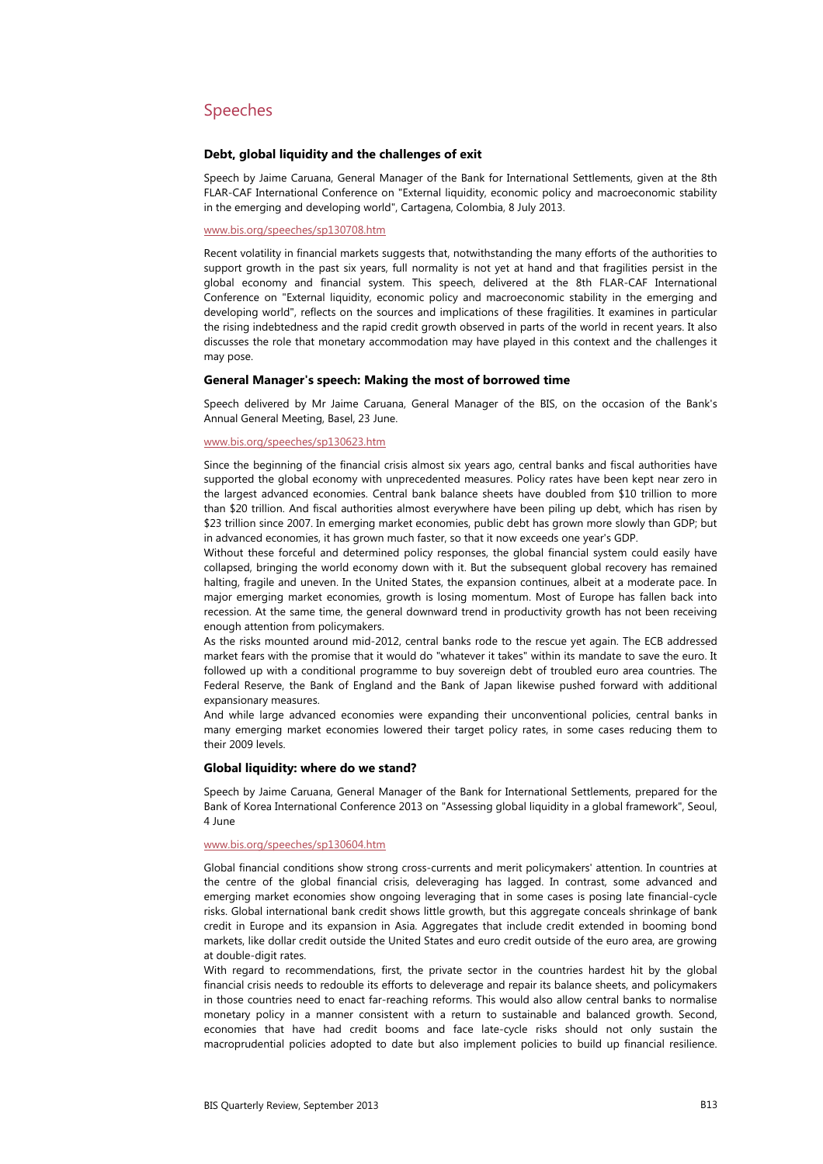## Speeches

#### **Debt, global liquidity and the challenges of exit**

Speech by Jaime Caruana, General Manager of the Bank for International Settlements, given at the 8th FLAR-CAF International Conference on "External liquidity, economic policy and macroeconomic stability in the emerging and developing world", Cartagena, Colombia, 8 July 2013.

#### www.bis.org/speeches/sp130708.htm

Recent volatility in financial markets suggests that, notwithstanding the many efforts of the authorities to support growth in the past six years, full normality is not yet at hand and that fragilities persist in the global economy and financial system. This speech, delivered at the 8th FLAR-CAF International Conference on "External liquidity, economic policy and macroeconomic stability in the emerging and developing world", reflects on the sources and implications of these fragilities. It examines in particular the rising indebtedness and the rapid credit growth observed in parts of the world in recent years. It also discusses the role that monetary accommodation may have played in this context and the challenges it may pose.

#### **General Manager's speech: Making the most of borrowed time**

Speech delivered by Mr Jaime Caruana, General Manager of the BIS, on the occasion of the Bank's Annual General Meeting, Basel, 23 June.

#### www.bis.org/speeches/sp130623.htm

Since the beginning of the financial crisis almost six years ago, central banks and fiscal authorities have supported the global economy with unprecedented measures. Policy rates have been kept near zero in the largest advanced economies. Central bank balance sheets have doubled from \$10 trillion to more than \$20 trillion. And fiscal authorities almost everywhere have been piling up debt, which has risen by \$23 trillion since 2007. In emerging market economies, public debt has grown more slowly than GDP; but in advanced economies, it has grown much faster, so that it now exceeds one year's GDP.

Without these forceful and determined policy responses, the global financial system could easily have collapsed, bringing the world economy down with it. But the subsequent global recovery has remained halting, fragile and uneven. In the United States, the expansion continues, albeit at a moderate pace. In major emerging market economies, growth is losing momentum. Most of Europe has fallen back into recession. At the same time, the general downward trend in productivity growth has not been receiving enough attention from policymakers.

As the risks mounted around mid-2012, central banks rode to the rescue yet again. The ECB addressed market fears with the promise that it would do "whatever it takes" within its mandate to save the euro. It followed up with a conditional programme to buy sovereign debt of troubled euro area countries. The Federal Reserve, the Bank of England and the Bank of Japan likewise pushed forward with additional expansionary measures.

And while large advanced economies were expanding their unconventional policies, central banks in many emerging market economies lowered their target policy rates, in some cases reducing them to their 2009 levels.

#### **Global liquidity: where do we stand?**

Speech by Jaime Caruana, General Manager of the Bank for International Settlements, prepared for the Bank of Korea International Conference 2013 on "Assessing global liquidity in a global framework", Seoul, 4 June

#### www.bis.org/speeches/sp130604.htm

Global financial conditions show strong cross-currents and merit policymakers' attention. In countries at the centre of the global financial crisis, deleveraging has lagged. In contrast, some advanced and emerging market economies show ongoing leveraging that in some cases is posing late financial-cycle risks. Global international bank credit shows little growth, but this aggregate conceals shrinkage of bank credit in Europe and its expansion in Asia. Aggregates that include credit extended in booming bond markets, like dollar credit outside the United States and euro credit outside of the euro area, are growing at double-digit rates.

With regard to recommendations, first, the private sector in the countries hardest hit by the global financial crisis needs to redouble its efforts to deleverage and repair its balance sheets, and policymakers in those countries need to enact far-reaching reforms. This would also allow central banks to normalise monetary policy in a manner consistent with a return to sustainable and balanced growth. Second, economies that have had credit booms and face late-cycle risks should not only sustain the macroprudential policies adopted to date but also implement policies to build up financial resilience.